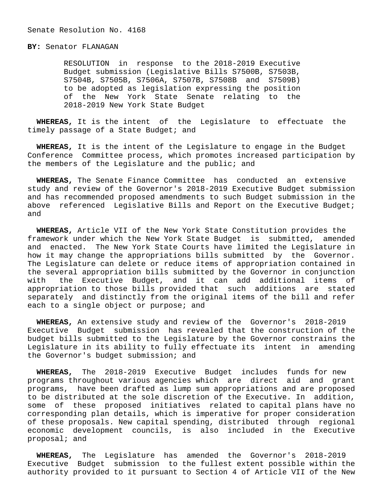## **BY:** Senator FLANAGAN

 RESOLUTION in response to the 2018-2019 Executive Budget submission (Legislative Bills S7500B, S7503B, S7504B, S7505B, S7506A, S7507B, S7508B and S7509B) to be adopted as legislation expressing the position of the New York State Senate relating to the 2018-2019 New York State Budget

 **WHEREAS,** It is the intent of the Legislature to effectuate the timely passage of a State Budget; and

 **WHEREAS,** It is the intent of the Legislature to engage in the Budget Conference Committee process, which promotes increased participation by the members of the Legislature and the public; and

 **WHEREAS,** The Senate Finance Committee has conducted an extensive study and review of the Governor's 2018-2019 Executive Budget submission and has recommended proposed amendments to such Budget submission in the above referenced Legislative Bills and Report on the Executive Budget; and

 **WHEREAS,** Article VII of the New York State Constitution provides the framework under which the New York State Budget is submitted, amended and enacted. The New York State Courts have limited the Legislature in how it may change the appropriations bills submitted by the Governor. The Legislature can delete or reduce items of appropriation contained in the several appropriation bills submitted by the Governor in conjunction with the Executive Budget, and it can add additional items of appropriation to those bills provided that such additions are stated separately and distinctly from the original items of the bill and refer each to a single object or purpose; and

 **WHEREAS,** An extensive study and review of the Governor's 2018-2019 Executive Budget submission has revealed that the construction of the budget bills submitted to the Legislature by the Governor constrains the Legislature in its ability to fully effectuate its intent in amending the Governor's budget submission; and

 **WHEREAS,** The 2018-2019 Executive Budget includes funds for new programs throughout various agencies which are direct aid and grant programs, have been drafted as lump sum appropriations and are proposed to be distributed at the sole discretion of the Executive. In addition, some of these proposed initiatives related to capital plans have no corresponding plan details, which is imperative for proper consideration of these proposals. New capital spending, distributed through regional economic development councils, is also included in the Executive proposal; and

 **WHEREAS,** The Legislature has amended the Governor's 2018-2019 Executive Budget submission to the fullest extent possible within the authority provided to it pursuant to Section 4 of Article VII of the New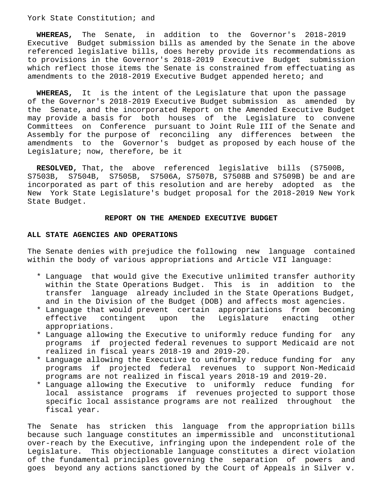#### York State Constitution; and

 **WHEREAS,** The Senate, in addition to the Governor's 2018-2019 Executive Budget submission bills as amended by the Senate in the above referenced legislative bills, does hereby provide its recommendations as to provisions in the Governor's 2018-2019 Executive Budget submission which reflect those items the Senate is constrained from effectuating as amendments to the 2018-2019 Executive Budget appended hereto; and

 **WHEREAS,** It is the intent of the Legislature that upon the passage of the Governor's 2018-2019 Executive Budget submission as amended by the Senate, and the incorporated Report on the Amended Executive Budget may provide a basis for both houses of the Legislature to convene Committees on Conference pursuant to Joint Rule III of the Senate and Assembly for the purpose of reconciling any differences between the amendments to the Governor's budget as proposed by each house of the Legislature; now, therefore, be it

 **RESOLVED,** That, the above referenced legislative bills (S7500B, S7503B, S7504B, S7505B, S7506A, S7507B, S7508B and S7509B) be and are incorporated as part of this resolution and are hereby adopted as the New York State Legislature's budget proposal for the 2018-2019 New York State Budget.

#### **REPORT ON THE AMENDED EXECUTIVE BUDGET**

#### **ALL STATE AGENCIES AND OPERATIONS**

The Senate denies with prejudice the following new language contained within the body of various appropriations and Article VII language:

- \* Language that would give the Executive unlimited transfer authority within the State Operations Budget. This is in addition to the transfer language already included in the State Operations Budget, and in the Division of the Budget (DOB) and affects most agencies.
- \* Language that would prevent certain appropriations from becoming effective contingent upon the Legislature enacting other appropriations.
- \* Language allowing the Executive to uniformly reduce funding for any programs if projected federal revenues to support Medicaid are not realized in fiscal years 2018-19 and 2019-20.
- \* Language allowing the Executive to uniformly reduce funding for any programs if projected federal revenues to support Non-Medicaid programs are not realized in fiscal years 2018-19 and 2019-20.
- \* Language allowing the Executive to uniformly reduce funding for local assistance programs if revenues projected to support those specific local assistance programs are not realized throughout the fiscal year.

The Senate has stricken this language from the appropriation bills because such language constitutes an impermissible and unconstitutional over-reach by the Executive, infringing upon the independent role of the Legislature. This objectionable language constitutes a direct violation of the fundamental principles governing the separation of powers and goes beyond any actions sanctioned by the Court of Appeals in Silver v.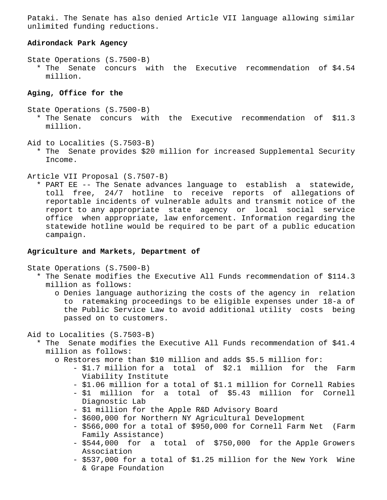Pataki. The Senate has also denied Article VII language allowing similar unlimited funding reductions.

## **Adirondack Park Agency**

State Operations (S.7500-B)

 \* The Senate concurs with the Executive recommendation of \$4.54 million.

# **Aging, Office for the**

- State Operations (S.7500-B)
	- \* The Senate concurs with the Executive recommendation of \$11.3 million.
- Aid to Localities (S.7503-B)
	- \* The Senate provides \$20 million for increased Supplemental Security Income.

## Article VII Proposal (S.7507-B)

 \* PART EE -- The Senate advances language to establish a statewide, toll free, 24/7 hotline to receive reports of allegations of reportable incidents of vulnerable adults and transmit notice of the report to any appropriate state agency or local social service office when appropriate, law enforcement. Information regarding the statewide hotline would be required to be part of a public education campaign.

#### **Agriculture and Markets, Department of**

State Operations (S.7500-B)

- \* The Senate modifies the Executive All Funds recommendation of \$114.3 million as follows:
	- o Denies language authorizing the costs of the agency in relation to ratemaking proceedings to be eligible expenses under 18-a of the Public Service Law to avoid additional utility costs being passed on to customers.
- Aid to Localities (S.7503-B)
	- \* The Senate modifies the Executive All Funds recommendation of \$41.4 million as follows:
		- o Restores more than \$10 million and adds \$5.5 million for:
			- \$1.7 million for a total of \$2.1 million for the Farm Viability Institute
			- \$1.06 million for a total of \$1.1 million for Cornell Rabies
			- \$1 million for a total of \$5.43 million for Cornell Diagnostic Lab
			- \$1 million for the Apple R&D Advisory Board
			- \$600,000 for Northern NY Agricultural Development
			- \$566,000 for a total of \$950,000 for Cornell Farm Net (Farm Family Assistance)
			- \$544,000 for a total of \$750,000 for the Apple Growers Association
			- \$537,000 for a total of \$1.25 million for the New York Wine & Grape Foundation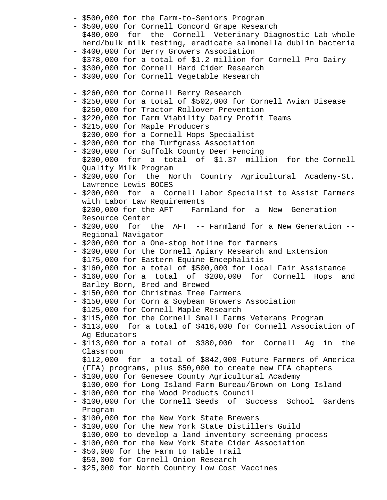- \$500,000 for the Farm-to-Seniors Program
- \$500,000 for Cornell Concord Grape Research
- \$480,000 for the Cornell Veterinary Diagnostic Lab-whole herd/bulk milk testing, eradicate salmonella dublin bacteria
- \$400,000 for Berry Growers Association
- \$378,000 for a total of \$1.2 million for Cornell Pro-Dairy
- \$300,000 for Cornell Hard Cider Research
- \$300,000 for Cornell Vegetable Research
- \$260,000 for Cornell Berry Research
- \$250,000 for a total of \$502,000 for Cornell Avian Disease
- \$250,000 for Tractor Rollover Prevention
- \$220,000 for Farm Viability Dairy Profit Teams
- \$215,000 for Maple Producers
- \$200,000 for a Cornell Hops Specialist
- \$200,000 for the Turfgrass Association
- \$200,000 for Suffolk County Deer Fencing
- \$200,000 for a total of \$1.37 million for the Cornell Quality Milk Program
- \$200,000 for the North Country Agricultural Academy-St. Lawrence-Lewis BOCES
- \$200,000 for a Cornell Labor Specialist to Assist Farmers with Labor Law Requirements
- \$200,000 for the AFT -- Farmland for a New Generation -- Resource Center
- \$200,000 for the AFT -- Farmland for a New Generation -- Regional Navigator
- \$200,000 for a One-stop hotline for farmers
- \$200,000 for the Cornell Apiary Research and Extension
- \$175,000 for Eastern Equine Encephalitis
- \$160,000 for a total of \$500,000 for Local Fair Assistance
- \$160,000 for a total of \$200,000 for Cornell Hops and Barley-Born, Bred and Brewed
- \$150,000 for Christmas Tree Farmers
- \$150,000 for Corn & Soybean Growers Association
- \$125,000 for Cornell Maple Research
- \$115,000 for the Cornell Small Farms Veterans Program
- \$113,000 for a total of \$416,000 for Cornell Association of Ag Educators
- \$113,000 for a total of \$380,000 for Cornell Ag in the Classroom
- \$112,000 for a total of \$842,000 Future Farmers of America (FFA) programs, plus \$50,000 to create new FFA chapters
- \$100,000 for Genesee County Agricultural Academy
- \$100,000 for Long Island Farm Bureau/Grown on Long Island
- \$100,000 for the Wood Products Council
- \$100,000 for the Cornell Seeds of Success School Gardens Program
- \$100,000 for the New York State Brewers
- \$100,000 for the New York State Distillers Guild
- \$100,000 to develop a land inventory screening process
- \$100,000 for the New York State Cider Association
- \$50,000 for the Farm to Table Trail
- \$50,000 for Cornell Onion Research
- \$25,000 for North Country Low Cost Vaccines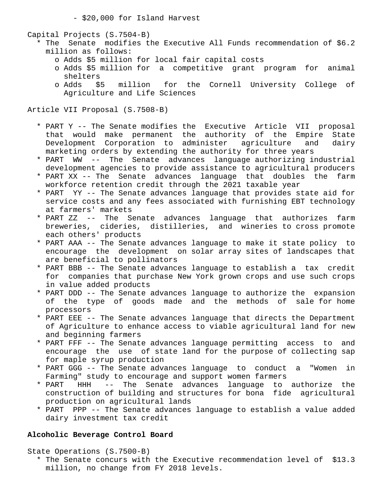- \$20,000 for Island Harvest

Capital Projects (S.7504-B)

- \* The Senate modifies the Executive All Funds recommendation of \$6.2 million as follows:
	- o Adds \$5 million for local fair capital costs
	- o Adds \$5 million for a competitive grant program for animal shelters
	- o Adds \$5 million for the Cornell University College of Agriculture and Life Sciences

Article VII Proposal (S.7508-B)

- \* PART Y -- The Senate modifies the Executive Article VII proposal that would make permanent the authority of the Empire State Development Corporation to administer agriculture and dairy marketing orders by extending the authority for three years
- \* PART WW -- The Senate advances language authorizing industrial development agencies to provide assistance to agricultural producers
- \* PART XX -- The Senate advances language that doubles the farm workforce retention credit through the 2021 taxable year
- \* PART YY -- The Senate advances language that provides state aid for service costs and any fees associated with furnishing EBT technology at farmers' markets
- \* PART ZZ -- The Senate advances language that authorizes farm breweries, cideries, distilleries, and wineries to cross promote each others' products
- \* PART AAA -- The Senate advances language to make it state policy to encourage the development on solar array sites of landscapes that are beneficial to pollinators
- \* PART BBB -- The Senate advances language to establish a tax credit for companies that purchase New York grown crops and use such crops in value added products
- \* PART DDD -- The Senate advances language to authorize the expansion of the type of goods made and the methods of sale for home processors
- \* PART EEE -- The Senate advances language that directs the Department of Agriculture to enhance access to viable agricultural land for new and beginning farmers
- \* PART FFF -- The Senate advances language permitting access to and encourage the use of state land for the purpose of collecting sap for maple syrup production
- \* PART GGG -- The Senate advances language to conduct a "Women in Farming" study to encourage and support women farmers
- \* PART HHH -- The Senate advances language to authorize the construction of building and structures for bona fide agricultural production on agricultural lands
- \* PART PPP -- The Senate advances language to establish a value added dairy investment tax credit

# **Alcoholic Beverage Control Board**

State Operations (S.7500-B)

 \* The Senate concurs with the Executive recommendation level of \$13.3 million, no change from FY 2018 levels.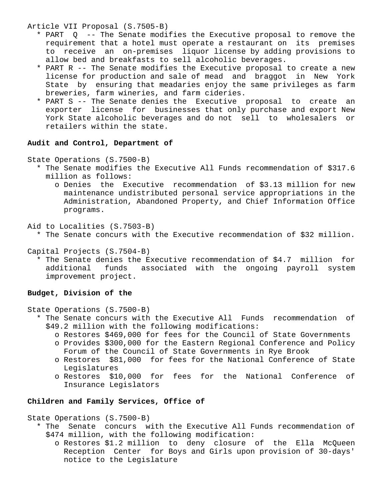Article VII Proposal (S.7505-B)

- \* PART Q -- The Senate modifies the Executive proposal to remove the requirement that a hotel must operate a restaurant on its premises to receive an on-premises liquor license by adding provisions to allow bed and breakfasts to sell alcoholic beverages.
- \* PART R -- The Senate modifies the Executive proposal to create a new license for production and sale of mead and braggot in New York State by ensuring that meadaries enjoy the same privileges as farm breweries, farm wineries, and farm cideries.
- \* PART S -- The Senate denies the Executive proposal to create an exporter license for businesses that only purchase and export New York State alcoholic beverages and do not sell to wholesalers or retailers within the state.

# **Audit and Control, Department of**

State Operations (S.7500-B)

- \* The Senate modifies the Executive All Funds recommendation of \$317.6 million as follows:
	- o Denies the Executive recommendation of \$3.13 million for new maintenance undistributed personal service appropriations in the Administration, Abandoned Property, and Chief Information Office programs.

Aid to Localities (S.7503-B)

- \* The Senate concurs with the Executive recommendation of \$32 million.
- Capital Projects (S.7504-B)
	- \* The Senate denies the Executive recommendation of \$4.7 million for additional funds associated with the ongoing payroll system improvement project.

#### **Budget, Division of the**

State Operations (S.7500-B)

- \* The Senate concurs with the Executive All Funds recommendation of \$49.2 million with the following modifications:
	- o Restores \$469,000 for fees for the Council of State Governments
	- o Provides \$300,000 for the Eastern Regional Conference and Policy Forum of the Council of State Governments in Rye Brook
	- o Restores \$81,000 for fees for the National Conference of State Legislatures
	- o Restores \$10,000 for fees for the National Conference of Insurance Legislators

## **Children and Family Services, Office of**

State Operations (S.7500-B)

- \* The Senate concurs with the Executive All Funds recommendation of \$474 million, with the following modification:
	- o Restores \$1.2 million to deny closure of the Ella McQueen Reception Center for Boys and Girls upon provision of 30-days' notice to the Legislature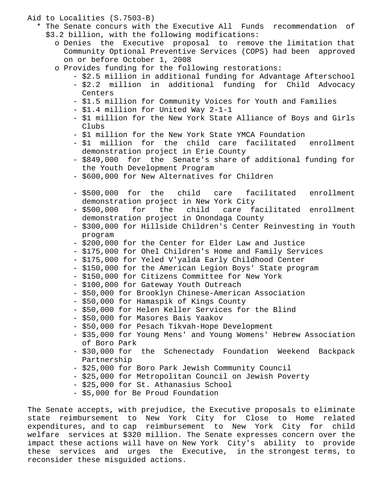#### Aid to Localities (S.7503-B)

- \* The Senate concurs with the Executive All Funds recommendation of \$3.2 billion, with the following modifications:
	- o Denies the Executive proposal to remove the limitation that Community Optional Preventive Services (COPS) had been approved on or before October 1, 2008
	- o Provides funding for the following restorations:
		- \$2.5 million in additional funding for Advantage Afterschool
		- \$2.2 million in additional funding for Child Advocacy Centers
		- \$1.5 million for Community Voices for Youth and Families
		- \$1.4 million for United Way 2-1-1
		- \$1 million for the New York State Alliance of Boys and Girls Clubs
		- \$1 million for the New York State YMCA Foundation
		- \$1 million for the child care facilitated enrollment demonstration project in Erie County
		- \$849,000 for the Senate's share of additional funding for the Youth Development Program
		- \$600,000 for New Alternatives for Children
		- \$500,000 for the child care facilitated enrollment demonstration project in New York City
		- \$500,000 for the child care facilitated enrollment demonstration project in Onondaga County
		- \$300,000 for Hillside Children's Center Reinvesting in Youth program
		- \$200,000 for the Center for Elder Law and Justice
		- \$175,000 for Ohel Children's Home and Family Services
		- \$175,000 for Yeled V'yalda Early Childhood Center
		- \$150,000 for the American Legion Boys' State program
		- \$150,000 for Citizens Committee for New York
		- \$100,000 for Gateway Youth Outreach
		- \$50,000 for Brooklyn Chinese-American Association
		- \$50,000 for Hamaspik of Kings County
		- \$50,000 for Helen Keller Services for the Blind
		- \$50,000 for Masores Bais Yaakov
		- \$50,000 for Pesach Tikvah-Hope Development
		- \$35,000 for Young Mens' and Young Womens' Hebrew Association of Boro Park
		- \$30,000 for the Schenectady Foundation Weekend Backpack Partnership
		- \$25,000 for Boro Park Jewish Community Council
		- \$25,000 for Metropolitan Council on Jewish Poverty
		- \$25,000 for St. Athanasius School
		- \$5,000 for Be Proud Foundation

The Senate accepts, with prejudice, the Executive proposals to eliminate state reimbursement to New York City for Close to Home related expenditures, and to cap reimbursement to New York City for child welfare services at \$320 million. The Senate expresses concern over the impact these actions will have on New York City's ability to provide these services and urges the Executive, in the strongest terms, to reconsider these misguided actions.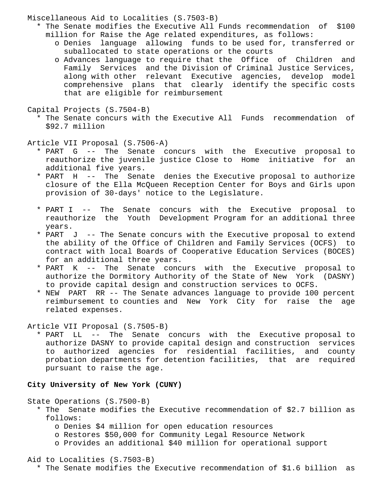Miscellaneous Aid to Localities (S.7503-B)

- \* The Senate modifies the Executive All Funds recommendation of \$100 million for Raise the Age related expenditures, as follows:
	- o Denies language allowing funds to be used for, transferred or suballocated to state operations or the courts
	- o Advances language to require that the Office of Children and Family Services and the Division of Criminal Justice Services, along with other relevant Executive agencies, develop model comprehensive plans that clearly identify the specific costs that are eligible for reimbursement
- Capital Projects (S.7504-B)
	- \* The Senate concurs with the Executive All Funds recommendation of \$92.7 million

Article VII Proposal (S.7506-A)

- \* PART G -- The Senate concurs with the Executive proposal to reauthorize the juvenile justice Close to Home initiative for an additional five years.
- \* PART H -- The Senate denies the Executive proposal to authorize closure of the Ella McQueen Reception Center for Boys and Girls upon provision of 30-days' notice to the Legislature.
- \* PART I -- The Senate concurs with the Executive proposal to reauthorize the Youth Development Program for an additional three years.
- \* PART J -- The Senate concurs with the Executive proposal to extend the ability of the Office of Children and Family Services (OCFS) to contract with local Boards of Cooperative Education Services (BOCES) for an additional three years.
- \* PART K -- The Senate concurs with the Executive proposal to authorize the Dormitory Authority of the State of New York (DASNY) to provide capital design and construction services to OCFS.
- \* NEW PART RR -- The Senate advances language to provide 100 percent reimbursement to counties and New York City for raise the age related expenses.

Article VII Proposal (S.7505-B)

 \* PART LL -- The Senate concurs with the Executive proposal to authorize DASNY to provide capital design and construction services to authorized agencies for residential facilities, and county probation departments for detention facilities, that are required pursuant to raise the age.

**City University of New York (CUNY)**

State Operations (S.7500-B)

- \* The Senate modifies the Executive recommendation of \$2.7 billion as follows:
	- o Denies \$4 million for open education resources
	- o Restores \$50,000 for Community Legal Resource Network
	- o Provides an additional \$40 million for operational support

Aid to Localities (S.7503-B)

\* The Senate modifies the Executive recommendation of \$1.6 billion as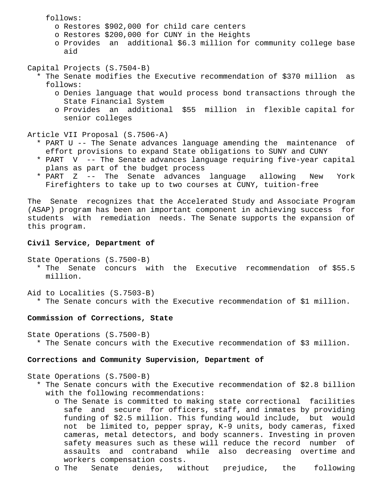follows:

- o Restores \$902,000 for child care centers
- o Restores \$200,000 for CUNY in the Heights
- o Provides an additional \$6.3 million for community college base aid

Capital Projects (S.7504-B)

- \* The Senate modifies the Executive recommendation of \$370 million as follows:
	- o Denies language that would process bond transactions through the State Financial System
	- o Provides an additional \$55 million in flexible capital for senior colleges

Article VII Proposal (S.7506-A)

- \* PART U -- The Senate advances language amending the maintenance of effort provisions to expand State obligations to SUNY and CUNY
- \* PART V -- The Senate advances language requiring five-year capital plans as part of the budget process
- \* PART Z -- The Senate advances language allowing New York Firefighters to take up to two courses at CUNY, tuition-free

The Senate recognizes that the Accelerated Study and Associate Program (ASAP) program has been an important component in achieving success for students with remediation needs. The Senate supports the expansion of this program.

# **Civil Service, Department of**

- State Operations (S.7500-B) \* The Senate concurs with the Executive recommendation of \$55.5 million.
- Aid to Localities (S.7503-B) \* The Senate concurs with the Executive recommendation of \$1 million.

#### **Commission of Corrections, State**

State Operations (S.7500-B) \* The Senate concurs with the Executive recommendation of \$3 million.

#### **Corrections and Community Supervision, Department of**

State Operations (S.7500-B)

- \* The Senate concurs with the Executive recommendation of \$2.8 billion with the following recommendations:
	- o The Senate is committed to making state correctional facilities safe and secure for officers, staff, and inmates by providing funding of \$2.5 million. This funding would include, but would not be limited to, pepper spray, K-9 units, body cameras, fixed cameras, metal detectors, and body scanners. Investing in proven safety measures such as these will reduce the record number of assaults and contraband while also decreasing overtime and workers compensation costs.
	- o The Senate denies, without prejudice, the following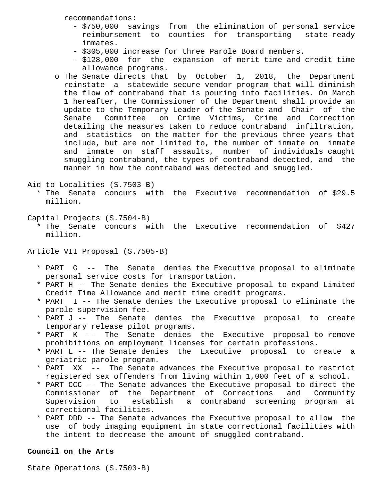recommendations:

- \$750,000 savings from the elimination of personal service reimbursement to counties for transporting state-ready inmates.
- \$305,000 increase for three Parole Board members.
- \$128,000 for the expansion of merit time and credit time allowance programs.
- o The Senate directs that by October 1, 2018, the Department reinstate a statewide secure vendor program that will diminish the flow of contraband that is pouring into facilities. On March 1 hereafter, the Commissioner of the Department shall provide an update to the Temporary Leader of the Senate and Chair of the Senate Committee on Crime Victims, Crime and Correction detailing the measures taken to reduce contraband infiltration, and statistics on the matter for the previous three years that include, but are not limited to, the number of inmate on inmate and inmate on staff assaults, number of individuals caught smuggling contraband, the types of contraband detected, and the manner in how the contraband was detected and smuggled.

Aid to Localities (S.7503-B)

 \* The Senate concurs with the Executive recommendation of \$29.5 million.

Capital Projects (S.7504-B)

 \* The Senate concurs with the Executive recommendation of \$427 million.

Article VII Proposal (S.7505-B)

- \* PART G -- The Senate denies the Executive proposal to eliminate personal service costs for transportation.
- \* PART H -- The Senate denies the Executive proposal to expand Limited Credit Time Allowance and merit time credit programs.
- \* PART I -- The Senate denies the Executive proposal to eliminate the parole supervision fee.
- \* PART J -- The Senate denies the Executive proposal to create temporary release pilot programs.
- \* PART K -- The Senate denies the Executive proposal to remove prohibitions on employment licenses for certain professions.
- \* PART L -- The Senate denies the Executive proposal to create a geriatric parole program.
- \* PART XX -- The Senate advances the Executive proposal to restrict registered sex offenders from living within 1,000 feet of a school.
- \* PART CCC -- The Senate advances the Executive proposal to direct the Commissioner of the Department of Corrections and Community Supervision to establish a contraband screening program at correctional facilities.
- \* PART DDD -- The Senate advances the Executive proposal to allow the use of body imaging equipment in state correctional facilities with the intent to decrease the amount of smuggled contraband.

# **Council on the Arts**

State Operations (S.7503-B)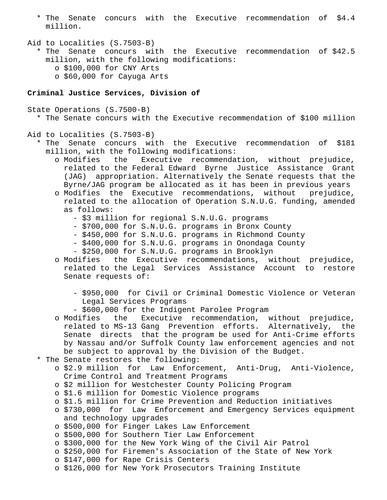- \* The Senate concurs with the Executive recommendation of \$4.4 million.
- Aid to Localities (S.7503-B) \* The Senate concurs with the Executive recommendation of \$42.5 million, with the following modifications: o \$100,000 for CNY Arts o \$60,000 for Cayuga Arts

#### **Criminal Justice Services, Division of**

State Operations (S.7500-B)

\* The Senate concurs with the Executive recommendation of \$100 million

# Aid to Localities (S.7503-B)

 \* The Senate concurs with the Executive recommendation of \$181 million, with the following modifications:

- o Modifies the Executive recommendation, without prejudice, related to the Federal Edward Byrne Justice Assistance Grant (JAG) appropriation. Alternatively the Senate requests that the Byrne/JAG program be allocated as it has been in previous years
- o Modifies the Executive recommendations, without prejudice, related to the allocation of Operation S.N.U.G. funding, amended as follows:
	- \$3 million for regional S.N.U.G. programs
	- \$700,000 for S.N.U.G. programs in Bronx County
	- \$450,000 for S.N.U.G. programs in Richmond County
	- \$400,000 for S.N.U.G. programs in Onondaga County
	- \$250,000 for S.N.U.G. programs in Brooklyn
- o Modifies the Executive recommendations, without prejudice, related to the Legal Services Assistance Account to restore Senate requests of:
	- \$950,000 for Civil or Criminal Domestic Violence or Veteran Legal Services Programs
	- \$600,000 for the Indigent Parolee Program
- o Modifies the Executive recommendation, without prejudice, related to MS-13 Gang Prevention efforts. Alternatively, the Senate directs that the program be used for Anti-Crime efforts by Nassau and/or Suffolk County law enforcement agencies and not be subject to approval by the Division of the Budget.
- \* The Senate restores the following:
	- o \$2.9 million for Law Enforcement, Anti-Drug, Anti-Violence, Crime Control and Treatment Programs
	- o \$2 million for Westchester County Policing Program
	- o \$1.6 million for Domestic Violence programs
	- o \$1.5 million for Crime Prevention and Reduction initiatives
	- o \$730,000 for Law Enforcement and Emergency Services equipment and technology upgrades
	- o \$500,000 for Finger Lakes Law Enforcement
	- o \$500,000 for Southern Tier Law Enforcement
	- o \$300,000 for the New York Wing of the Civil Air Patrol
	- o \$250,000 for Firemen's Association of the State of New York
	- o \$147,000 for Rape Crisis Centers
	- o \$126,000 for New York Prosecutors Training Institute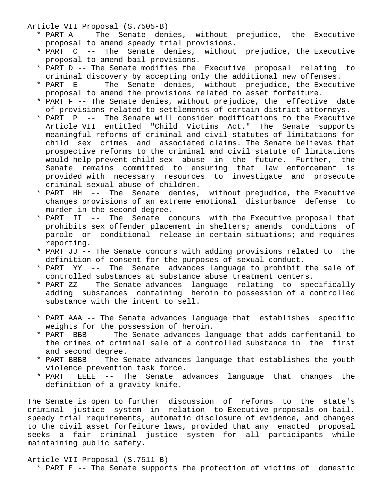Article VII Proposal (S.7505-B)

- \* PART A -- The Senate denies, without prejudice, the Executive proposal to amend speedy trial provisions.
- \* PART C -- The Senate denies, without prejudice, the Executive proposal to amend bail provisions.
- \* PART D -- The Senate modifies the Executive proposal relating to criminal discovery by accepting only the additional new offenses.
- \* PART E -- The Senate denies, without prejudice, the Executive proposal to amend the provisions related to asset forfeiture.
- \* PART F -- The Senate denies, without prejudice, the effective date of provisions related to settlements of certain district attorneys.
- \* PART P -- The Senate will consider modifications to the Executive Article VII entitled "Child Victims Act." The Senate supports meaningful reforms of criminal and civil statutes of limitations for child sex crimes and associated claims. The Senate believes that prospective reforms to the criminal and civil statute of limitations would help prevent child sex abuse in the future. Further, the Senate remains committed to ensuring that law enforcement is provided with necessary resources to investigate and prosecute criminal sexual abuse of children.
- \* PART HH -- The Senate denies, without prejudice, the Executive changes provisions of an extreme emotional disturbance defense to murder in the second degree.
- \* PART II -- The Senate concurs with the Executive proposal that prohibits sex offender placement in shelters; amends conditions of parole or conditional release in certain situations; and requires reporting.
- \* PART JJ -- The Senate concurs with adding provisions related to the definition of consent for the purposes of sexual conduct.
- \* PART YY -- The Senate advances language to prohibit the sale of controlled substances at substance abuse treatment centers.
- \* PART ZZ -- The Senate advances language relating to specifically adding substances containing heroin to possession of a controlled substance with the intent to sell.
- \* PART AAA -- The Senate advances language that establishes specific weights for the possession of heroin.
- \* PART BBB -- The Senate advances language that adds carfentanil to the crimes of criminal sale of a controlled substance in the first and second degree.
- \* PART BBBB -- The Senate advances language that establishes the youth violence prevention task force.
- \* PART EEEE -- The Senate advances language that changes the definition of a gravity knife.

The Senate is open to further discussion of reforms to the state's criminal justice system in relation to Executive proposals on bail, speedy trial requirements, automatic disclosure of evidence, and changes to the civil asset forfeiture laws, provided that any enacted proposal seeks a fair criminal justice system for all participants while maintaining public safety.

#### Article VII Proposal (S.7511-B)

\* PART E -- The Senate supports the protection of victims of domestic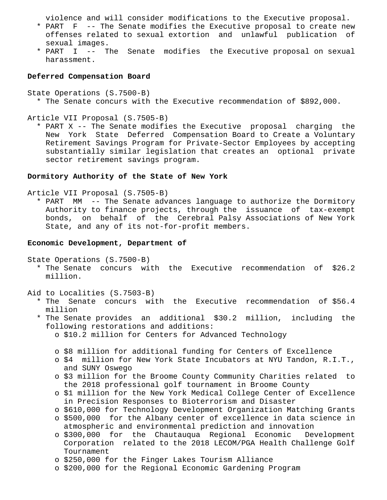violence and will consider modifications to the Executive proposal.

- \* PART F -- The Senate modifies the Executive proposal to create new offenses related to sexual extortion and unlawful publication of sexual images.
- \* PART I -- The Senate modifies the Executive proposal on sexual harassment.

### **Deferred Compensation Board**

State Operations (S.7500-B) \* The Senate concurs with the Executive recommendation of \$892,000.

Article VII Proposal (S.7505-B)

 \* PART X -- The Senate modifies the Executive proposal charging the New York State Deferred Compensation Board to Create a Voluntary Retirement Savings Program for Private-Sector Employees by accepting substantially similar legislation that creates an optional private sector retirement savings program.

## **Dormitory Authority of the State of New York**

Article VII Proposal (S.7505-B)

 \* PART MM -- The Senate advances language to authorize the Dormitory Authority to finance projects, through the issuance of tax-exempt bonds, on behalf of the Cerebral Palsy Associations of New York State, and any of its not-for-profit members.

#### **Economic Development, Department of**

State Operations (S.7500-B)

 \* The Senate concurs with the Executive recommendation of \$26.2 million.

Aid to Localities (S.7503-B)

 \* The Senate concurs with the Executive recommendation of \$56.4 million

- \* The Senate provides an additional \$30.2 million, including the following restorations and additions:
	- o \$10.2 million for Centers for Advanced Technology
	- o \$8 million for additional funding for Centers of Excellence
	- o \$4 million for New York State Incubators at NYU Tandon, R.I.T., and SUNY Oswego
	- o \$3 million for the Broome County Community Charities related to the 2018 professional golf tournament in Broome County
	- o \$1 million for the New York Medical College Center of Excellence in Precision Responses to Bioterrorism and Disaster
	- o \$610,000 for Technology Development Organization Matching Grants
	- o \$500,000 for the Albany center of excellence in data science in atmospheric and environmental prediction and innovation
	- o \$300,000 for the Chautauqua Regional Economic Development Corporation related to the 2018 LECOM/PGA Health Challenge Golf Tournament
	- o \$250,000 for the Finger Lakes Tourism Alliance
	- o \$200,000 for the Regional Economic Gardening Program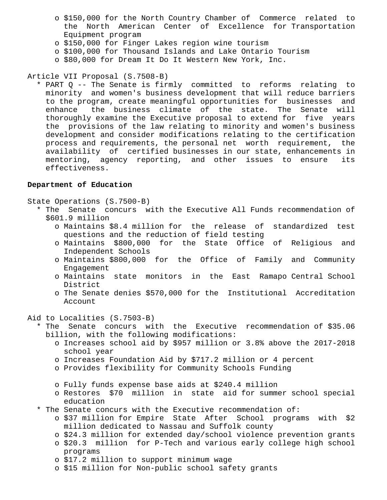- o \$150,000 for the North Country Chamber of Commerce related to the North American Center of Excellence for Transportation Equipment program
- o \$150,000 for Finger Lakes region wine tourism
- o \$100,000 for Thousand Islands and Lake Ontario Tourism
- o \$80,000 for Dream It Do It Western New York, Inc.

# Article VII Proposal (S.7508-B)

 \* PART Q -- The Senate is firmly committed to reforms relating to minority and women's business development that will reduce barriers to the program, create meaningful opportunities for businesses and enhance the business climate of the state. The Senate will thoroughly examine the Executive proposal to extend for five years the provisions of the law relating to minority and women's business development and consider modifications relating to the certification process and requirements, the personal net worth requirement, the availability of certified businesses in our state, enhancements in mentoring, agency reporting, and other issues to ensure its effectiveness.

# **Department of Education**

State Operations (S.7500-B)

- \* The Senate concurs with the Executive All Funds recommendation of \$601.9 million
	- o Maintains \$8.4 million for the release of standardized test questions and the reduction of field testing
	- o Maintains \$800,000 for the State Office of Religious and Independent Schools
	- o Maintains \$800,000 for the Office of Family and Community Engagement
	- o Maintains state monitors in the East Ramapo Central School District
	- o The Senate denies \$570,000 for the Institutional Accreditation Account

Aid to Localities (S.7503-B)

 \* The Senate concurs with the Executive recommendation of \$35.06 billion, with the following modifications:

- o Increases school aid by \$957 million or 3.8% above the 2017-2018 school year
- o Increases Foundation Aid by \$717.2 million or 4 percent
- o Provides flexibility for Community Schools Funding
- o Fully funds expense base aids at \$240.4 million
- o Restores \$70 million in state aid for summer school special education
- \* The Senate concurs with the Executive recommendation of:
	- o \$37 million for Empire State After School programs with \$2 million dedicated to Nassau and Suffolk county
	- o \$24.3 million for extended day/school violence prevention grants o \$20.3 million for P-Tech and various early college high school
	- programs o \$17.2 million to support minimum wage
	- o \$15 million for Non-public school safety grants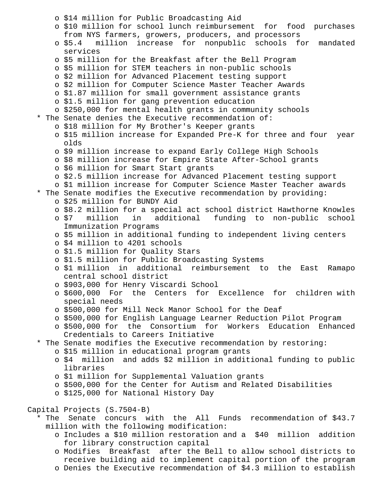o \$14 million for Public Broadcasting Aid o \$10 million for school lunch reimbursement for food purchases from NYS farmers, growers, producers, and processors o \$5.4 million increase for nonpublic schools for mandated services o \$5 million for the Breakfast after the Bell Program o \$5 million for STEM teachers in non-public schools o \$2 million for Advanced Placement testing support o \$2 million for Computer Science Master Teacher Awards o \$1.87 million for small government assistance grants o \$1.5 million for gang prevention education o \$250,000 for mental health grants in community schools \* The Senate denies the Executive recommendation of: o \$18 million for My Brother's Keeper grants o \$15 million increase for Expanded Pre-K for three and four year olds o \$9 million increase to expand Early College High Schools o \$8 million increase for Empire State After-School grants o \$6 million for Smart Start grants o \$2.5 million increase for Advanced Placement testing support o \$1 million increase for Computer Science Master Teacher awards \* The Senate modifies the Executive recommendation by providing: o \$25 million for BUNDY Aid o \$8.2 million for a special act school district Hawthorne Knowles o \$7 million in additional funding to non-public school Immunization Programs o \$5 million in additional funding to independent living centers o \$4 million to 4201 schools o \$1.5 million for Quality Stars o \$1.5 million for Public Broadcasting Systems o \$1 million in additional reimbursement to the East Ramapo central school district o \$903,000 for Henry Viscardi School o \$600,000 For the Centers for Excellence for children with special needs o \$500,000 for Mill Neck Manor School for the Deaf o \$500,000 for English Language Learner Reduction Pilot Program o \$500,000 for the Consortium for Workers Education Enhanced Credentials to Careers Initiative \* The Senate modifies the Executive recommendation by restoring: o \$15 million in educational program grants o \$4 million and adds \$2 million in additional funding to public libraries o \$1 million for Supplemental Valuation grants o \$500,000 for the Center for Autism and Related Disabilities o \$125,000 for National History Day Capital Projects (S.7504-B) \* The Senate concurs with the All Funds recommendation of \$43.7 million with the following modification: o Includes a \$10 million restoration and a \$40 million addition for library construction capital

 o Modifies Breakfast after the Bell to allow school districts to receive building aid to implement capital portion of the program o Denies the Executive recommendation of \$4.3 million to establish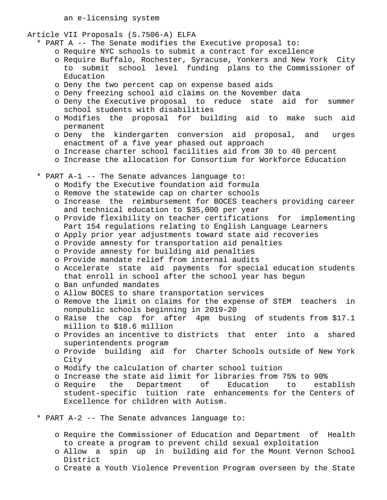an e-licensing system

Article VII Proposals (S.7506-A) ELFA

- \* PART A -- The Senate modifies the Executive proposal to:
	- o Require NYC schools to submit a contract for excellence
	- o Require Buffalo, Rochester, Syracuse, Yonkers and New York City to submit school level funding plans to the Commissioner of Education
	- o Deny the two percent cap on expense based aids
	- o Deny freezing school aid claims on the November data
	- o Deny the Executive proposal to reduce state aid for summer school students with disabilities
	- o Modifies the proposal for building aid to make such aid permanent
	- o Deny the kindergarten conversion aid proposal, and urges enactment of a five year phased out approach
	- o Increase charter school facilities aid from 30 to 40 percent
	- o Increase the allocation for Consortium for Workforce Education
- \* PART A-1 -- The Senate advances language to:
	- o Modify the Executive foundation aid formula
	- o Remove the statewide cap on charter schools
	- o Increase the reimbursement for BOCES teachers providing career and technical education to \$35,000 per year
	- o Provide flexibility on teacher certifications for implementing Part 154 regulations relating to English Language Learners
	- o Apply prior year adjustments toward state aid recoveries
	- o Provide amnesty for transportation aid penalties
	- o Provide amnesty for building aid penalties
	- o Provide mandate relief from internal audits
	- o Accelerate state aid payments for special education students that enroll in school after the school year has begun
	- o Ban unfunded mandates
	- o Allow BOCES to share transportation services
	- o Remove the limit on claims for the expense of STEM teachers in nonpublic schools beginning in 2019-20
	- o Raise the cap for after 4pm busing of students from \$17.1 million to \$18.6 million
	- o Provides an incentive to districts that enter into a shared superintendents program
	- o Provide building aid for Charter Schools outside of New York City
	- o Modify the calculation of charter school tuition
	- o Increase the state aid limit for libraries from 75% to 90%
	- o Require the Department of Education to establish student-specific tuition rate enhancements for the Centers of Excellence for children with Autism.
- \* PART A-2 -- The Senate advances language to:
	- o Require the Commissioner of Education and Department of Health to create a program to prevent child sexual exploitation
	- o Allow a spin up in building aid for the Mount Vernon School District
	- o Create a Youth Violence Prevention Program overseen by the State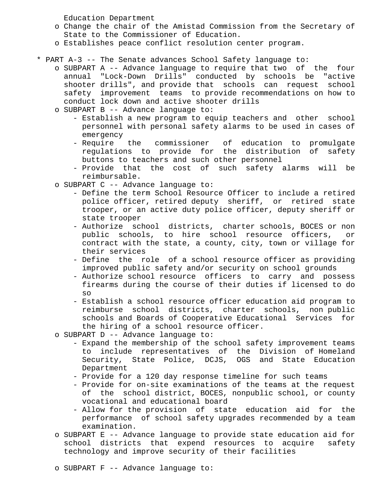Education Department

- o Change the chair of the Amistad Commission from the Secretary of State to the Commissioner of Education.
- o Establishes peace conflict resolution center program.
- \* PART A-3 -- The Senate advances School Safety language to:
	- o SUBPART A -- Advance language to require that two of the four annual "Lock-Down Drills" conducted by schools be "active shooter drills", and provide that schools can request school safety improvement teams to provide recommendations on how to conduct lock down and active shooter drills
	- o SUBPART B -- Advance language to:
		- Establish a new program to equip teachers and other school personnel with personal safety alarms to be used in cases of emergency
		- Require the commissioner of education to promulgate regulations to provide for the distribution of safety buttons to teachers and such other personnel
		- Provide that the cost of such safety alarms will be reimbursable.
	- o SUBPART C -- Advance language to:
		- Define the term School Resource Officer to include a retired police officer, retired deputy sheriff, or retired state trooper, or an active duty police officer, deputy sheriff or state trooper
		- Authorize school districts, charter schools, BOCES or non public schools, to hire school resource officers, or contract with the state, a county, city, town or village for their services
		- Define the role of a school resource officer as providing improved public safety and/or security on school grounds
		- Authorize school resource officers to carry and possess firearms during the course of their duties if licensed to do so
		- Establish a school resource officer education aid program to reimburse school districts, charter schools, non public schools and Boards of Cooperative Educational Services for the hiring of a school resource officer.
	- o SUBPART D -- Advance language to:
		- Expand the membership of the school safety improvement teams to include representatives of the Division of Homeland Security, State Police, DCJS, OGS and State Education Department
		- Provide for a 120 day response timeline for such teams
		- Provide for on-site examinations of the teams at the request of the school district, BOCES, nonpublic school, or county vocational and educational board
		- Allow for the provision of state education aid for the performance of school safety upgrades recommended by a team examination.
	- o SUBPART E -- Advance language to provide state education aid for school districts that expend resources to acquire safety technology and improve security of their facilities
	- o SUBPART F -- Advance language to: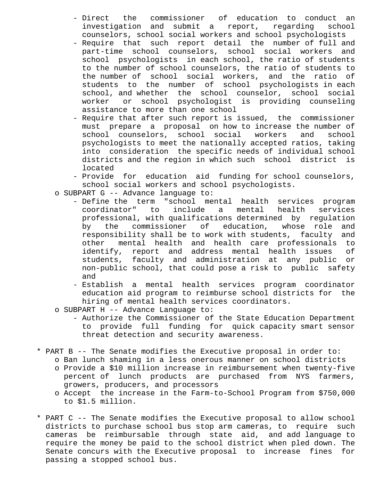- Direct the commissioner of education to conduct an investigation and submit a report, regarding school counselors, school social workers and school psychologists
- Require that such report detail the number of full and part-time school counselors, school social workers and school psychologists in each school, the ratio of students to the number of school counselors, the ratio of students to the number of school social workers, and the ratio of students to the number of school psychologists in each school, and whether the school counselor, school social worker or school psychologist is providing counseling assistance to more than one school
- Require that after such report is issued, the commissioner must prepare a proposal on how to increase the number of school counselors, school social workers and school psychologists to meet the nationally accepted ratios, taking into consideration the specific needs of individual school districts and the region in which such school district is located
- Provide for education aid funding for school counselors, school social workers and school psychologists.
- o SUBPART G -- Advance language to:
	- Define the term "school mental health services program coordinator" to include a mental health services professional, with qualifications determined by regulation by the commissioner of education, whose role and responsibility shall be to work with students, faculty and other mental health and health care professionals to identify, report and address mental health issues of students, faculty and administration at any public or non-public school, that could pose a risk to public safety and
	- Establish a mental health services program coordinator education aid program to reimburse school districts for the hiring of mental health services coordinators.
- o SUBPART H -- Advance Language to:
	- Authorize the Commissioner of the State Education Department to provide full funding for quick capacity smart sensor threat detection and security awareness.
- \* PART B -- The Senate modifies the Executive proposal in order to:
	- o Ban lunch shaming in a less onerous manner on school districts o Provide a \$10 million increase in reimbursement when twenty-five percent of lunch products are purchased from NYS farmers, growers, producers, and processors
	- o Accept the increase in the Farm-to-School Program from \$750,000 to \$1.5 million.
- \* PART C -- The Senate modifies the Executive proposal to allow school districts to purchase school bus stop arm cameras, to require such cameras be reimbursable through state aid, and add language to require the money be paid to the school district when pled down. The Senate concurs with the Executive proposal to increase fines for passing a stopped school bus.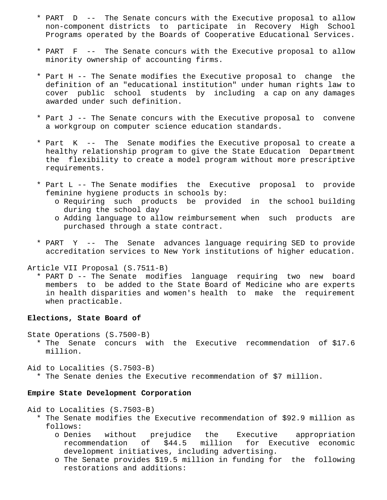- \* PART D -- The Senate concurs with the Executive proposal to allow non-component districts to participate in Recovery High School Programs operated by the Boards of Cooperative Educational Services.
- \* PART F -- The Senate concurs with the Executive proposal to allow minority ownership of accounting firms.
- \* Part H -- The Senate modifies the Executive proposal to change the definition of an "educational institution" under human rights law to cover public school students by including a cap on any damages awarded under such definition.
- \* Part J -- The Senate concurs with the Executive proposal to convene a workgroup on computer science education standards.
- \* Part K -- The Senate modifies the Executive proposal to create a healthy relationship program to give the State Education Department the flexibility to create a model program without more prescriptive requirements.
- \* Part L -- The Senate modifies the Executive proposal to provide feminine hygiene products in schools by:
	- o Requiring such products be provided in the school building during the school day
	- o Adding language to allow reimbursement when such products are purchased through a state contract.
- \* PART Y -- The Senate advances language requiring SED to provide accreditation services to New York institutions of higher education.

Article VII Proposal (S.7511-B)

 \* PART D -- The Senate modifies language requiring two new board members to be added to the State Board of Medicine who are experts in health disparities and women's health to make the requirement when practicable.

# **Elections, State Board of**

State Operations (S.7500-B) \* The Senate concurs with the Executive recommendation of \$17.6 million.

Aid to Localities (S.7503-B)

\* The Senate denies the Executive recommendation of \$7 million.

### **Empire State Development Corporation**

Aid to Localities (S.7503-B)

- \* The Senate modifies the Executive recommendation of \$92.9 million as follows:
	- o Denies without prejudice the Executive appropriation recommendation of \$44.5 million for Executive economic development initiatives, including advertising.
	- o The Senate provides \$19.5 million in funding for the following restorations and additions: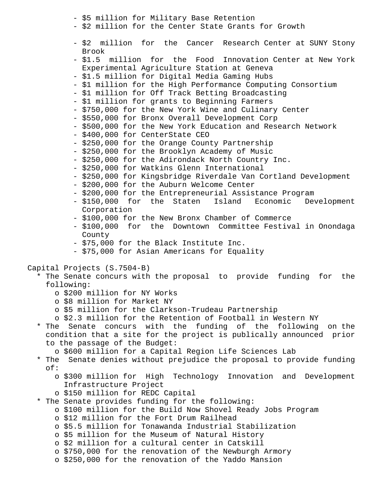- \$5 million for Military Base Retention
- \$2 million for the Center State Grants for Growth
- \$2 million for the Cancer Research Center at SUNY Stony Brook
- \$1.5 million for the Food Innovation Center at New York Experimental Agriculture Station at Geneva
- \$1.5 million for Digital Media Gaming Hubs
- \$1 million for the High Performance Computing Consortium
- \$1 million for Off Track Betting Broadcasting
- \$1 million for grants to Beginning Farmers
- \$750,000 for the New York Wine and Culinary Center
- \$550,000 for Bronx Overall Development Corp
- \$500,000 for the New York Education and Research Network
- \$400,000 for CenterState CEO
- \$250,000 for the Orange County Partnership
- \$250,000 for the Brooklyn Academy of Music
- \$250,000 for the Adirondack North Country Inc.
- \$250,000 for Watkins Glenn International
- \$250,000 for Kingsbridge Riverdale Van Cortland Development
- \$200,000 for the Auburn Welcome Center
- \$200,000 for the Entrepreneurial Assistance Program
- \$150,000 for the Staten Island Economic Development Corporation
- \$100,000 for the New Bronx Chamber of Commerce
- \$100,000 for the Downtown Committee Festival in Onondaga County
- \$75,000 for the Black Institute Inc.
- \$75,000 for Asian Americans for Equality

Capital Projects (S.7504-B)

- \* The Senate concurs with the proposal to provide funding for the following:
	- o \$200 million for NY Works
	- o \$8 million for Market NY
	- o \$5 million for the Clarkson-Trudeau Partnership
	- o \$2.3 million for the Retention of Football in Western NY
- \* The Senate concurs with the funding of the following on the condition that a site for the project is publically announced prior to the passage of the Budget:
	- o \$600 million for a Capital Region Life Sciences Lab
- \* The Senate denies without prejudice the proposal to provide funding of:
	- o \$300 million for High Technology Innovation and Development Infrastructure Project
	- o \$150 million for REDC Capital
- \* The Senate provides funding for the following:
	- o \$100 million for the Build Now Shovel Ready Jobs Program
	- o \$12 million for the Fort Drum Railhead
	- o \$5.5 million for Tonawanda Industrial Stabilization
	- o \$5 million for the Museum of Natural History
	- o \$2 million for a cultural center in Catskill
	- o \$750,000 for the renovation of the Newburgh Armory
	- o \$250,000 for the renovation of the Yaddo Mansion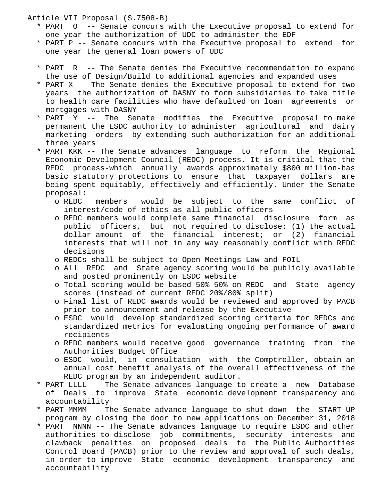Article VII Proposal (S.7508-B)

- \* PART O -- Senate concurs with the Executive proposal to extend for one year the authorization of UDC to administer the EDF
- \* PART P -- Senate concurs with the Executive proposal to extend for one year the general loan powers of UDC
- \* PART R -- The Senate denies the Executive recommendation to expand the use of Design/Build to additional agencies and expanded uses
- \* PART X -- The Senate denies the Executive proposal to extend for two years the authorization of DASNY to form subsidiaries to take title to health care facilities who have defaulted on loan agreements or mortgages with DASNY
- \* PART Y -- The Senate modifies the Executive proposal to make permanent the ESDC authority to administer agricultural and dairy marketing orders by extending such authorization for an additional three years
- \* PART KKK -- The Senate advances language to reform the Regional Economic Development Council (REDC) process. It is critical that the REDC process-which annually awards approximately \$800 million-has basic statutory protections to ensure that taxpayer dollars are being spent equitably, effectively and efficiently. Under the Senate proposal:
	- o REDC members would be subject to the same conflict of interest/code of ethics as all public officers
	- o REDC members would complete same financial disclosure form as public officers, but not required to disclose: (1) the actual dollar amount of the financial interest; or (2) financial interests that will not in any way reasonably conflict with REDC decisions
	- o REDCs shall be subject to Open Meetings Law and FOIL
	- o All REDC and State agency scoring would be publicly available and posted prominently on ESDC website
	- o Total scoring would be based 50%-50% on REDC and State agency scores (instead of current REDC 20%/80% split)
	- o Final list of REDC awards would be reviewed and approved by PACB prior to announcement and release by the Executive
	- o ESDC would develop standardized scoring criteria for REDCs and standardized metrics for evaluating ongoing performance of award recipients
	- o REDC members would receive good governance training from the Authorities Budget Office
	- o ESDC would, in consultation with the Comptroller, obtain an annual cost benefit analysis of the overall effectiveness of the REDC program by an independent auditor.
- \* PART LLLL -- The Senate advances language to create a new Database of Deals to improve State economic development transparency and accountability
- \* PART MMMM -- The Senate advance language to shut down the START-UP program by closing the door to new applications on December 31, 2018
- \* PART NNNN -- The Senate advances language to require ESDC and other authorities to disclose job commitments, security interests and clawback penalties on proposed deals to the Public Authorities Control Board (PACB) prior to the review and approval of such deals, in order to improve State economic development transparency and accountability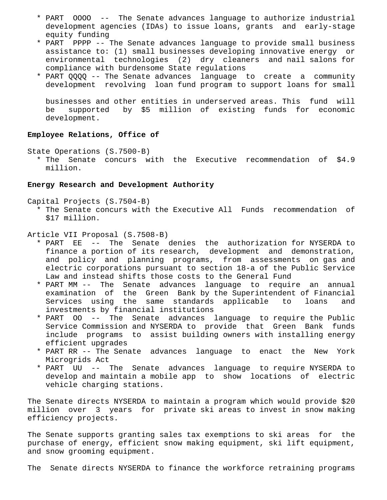- \* PART OOOO -- The Senate advances language to authorize industrial development agencies (IDAs) to issue loans, grants and early-stage equity funding
- \* PART PPPP -- The Senate advances language to provide small business assistance to: (1) small businesses developing innovative energy or environmental technologies (2) dry cleaners and nail salons for compliance with burdensome State regulations
- \* PART QQQQ -- The Senate advances language to create a community development revolving loan fund program to support loans for small

 businesses and other entities in underserved areas. This fund will be supported by \$5 million of existing funds for economic development.

# **Employee Relations, Office of**

State Operations (S.7500-B)

 \* The Senate concurs with the Executive recommendation of \$4.9 million.

# **Energy Research and Development Authority**

Capital Projects (S.7504-B)

 \* The Senate concurs with the Executive All Funds recommendation of \$17 million.

# Article VII Proposal (S.7508-B)

- \* PART EE -- The Senate denies the authorization for NYSERDA to finance a portion of its research, development and demonstration, and policy and planning programs, from assessments on gas and electric corporations pursuant to section 18-a of the Public Service Law and instead shifts those costs to the General Fund
- \* PART MM -- The Senate advances language to require an annual examination of the Green Bank by the Superintendent of Financial Services using the same standards applicable to loans and investments by financial institutions
- \* PART OO -- The Senate advances language to require the Public Service Commission and NYSERDA to provide that Green Bank funds include programs to assist building owners with installing energy efficient upgrades
- \* PART RR -- The Senate advances language to enact the New York Microgrids Act
- \* PART UU -- The Senate advances language to require NYSERDA to develop and maintain a mobile app to show locations of electric vehicle charging stations.

The Senate directs NYSERDA to maintain a program which would provide \$20 million over 3 years for private ski areas to invest in snow making efficiency projects.

The Senate supports granting sales tax exemptions to ski areas for the purchase of energy, efficient snow making equipment, ski lift equipment, and snow grooming equipment.

The Senate directs NYSERDA to finance the workforce retraining programs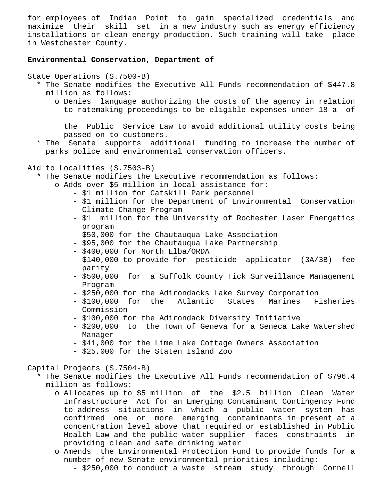for employees of Indian Point to gain specialized credentials and maximize their skill set in a new industry such as energy efficiency installations or clean energy production. Such training will take place in Westchester County.

# **Environmental Conservation, Department of**

State Operations (S.7500-B)

- \* The Senate modifies the Executive All Funds recommendation of \$447.8 million as follows:
	- o Denies language authorizing the costs of the agency in relation to ratemaking proceedings to be eligible expenses under 18-a of

 the Public Service Law to avoid additional utility costs being passed on to customers.

 \* The Senate supports additional funding to increase the number of parks police and environmental conservation officers.

Aid to Localities (S.7503-B)

- \* The Senate modifies the Executive recommendation as follows:
	- o Adds over \$5 million in local assistance for:
		- \$1 million for Catskill Park personnel
		- \$1 million for the Department of Environmental Conservation Climate Change Program
		- \$1 million for the University of Rochester Laser Energetics program
		- \$50,000 for the Chautauqua Lake Association
		- \$95,000 for the Chautauqua Lake Partnership
		- \$400,000 for North Elba/ORDA
		- \$140,000 to provide for pesticide applicator (3A/3B) fee parity
		- \$500,000 for a Suffolk County Tick Surveillance Management Program
		- \$250,000 for the Adirondacks Lake Survey Corporation
		- \$100,000 for the Atlantic States Marines Fisheries Commission
		- \$100,000 for the Adirondack Diversity Initiative
		- \$200,000 to the Town of Geneva for a Seneca Lake Watershed Manager
		- \$41,000 for the Lime Lake Cottage Owners Association
		- \$25,000 for the Staten Island Zoo

Capital Projects (S.7504-B)

- \* The Senate modifies the Executive All Funds recommendation of \$796.4 million as follows:
	- o Allocates up to \$5 million of the \$2.5 billion Clean Water Infrastructure Act for an Emerging Contaminant Contingency Fund to address situations in which a public water system has confirmed one or more emerging contaminants in present at a concentration level above that required or established in Public Health Law and the public water supplier faces constraints in providing clean and safe drinking water
	- o Amends the Environmental Protection Fund to provide funds for a number of new Senate environmental priorities including:
		- \$250,000 to conduct a waste stream study through Cornell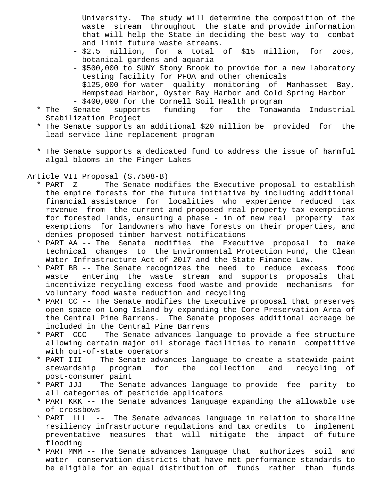University. The study will determine the composition of the waste stream throughout the state and provide information that will help the State in deciding the best way to combat and limit future waste streams.

- \$2.5 million, for a total of \$15 million, for zoos, botanical gardens and aquaria
- \$500,000 to SUNY Stony Brook to provide for a new laboratory testing facility for PFOA and other chemicals
- \$125,000 for water quality monitoring of Manhasset Bay, Hempstead Harbor, Oyster Bay Harbor and Cold Spring Harbor
- \$400,000 for the Cornell Soil Health program
- \* The Senate supports funding for the Tonawanda Industrial Stabilization Project
- \* The Senate supports an additional \$20 million be provided for the lead service line replacement program
- \* The Senate supports a dedicated fund to address the issue of harmful algal blooms in the Finger Lakes

Article VII Proposal (S.7508-B)

- \* PART Z -- The Senate modifies the Executive proposal to establish the empire forests for the future initiative by including additional financial assistance for localities who experience reduced tax revenue from the current and proposed real property tax exemptions for forested lands, ensuring a phase - in of new real property tax exemptions for landowners who have forests on their properties, and denies proposed timber harvest notifications
- \* PART AA -- The Senate modifies the Executive proposal to make technical changes to the Environmental Protection Fund, the Clean Water Infrastructure Act of 2017 and the State Finance Law.
- \* PART BB -- The Senate recognizes the need to reduce excess food waste entering the waste stream and supports proposals that incentivize recycling excess food waste and provide mechanisms for voluntary food waste reduction and recycling
- \* PART CC -- The Senate modifies the Executive proposal that preserves open space on Long Island by expanding the Core Preservation Area of the Central Pine Barrens. The Senate proposes additional acreage be included in the Central Pine Barrens
- \* PART CCC -- The Senate advances language to provide a fee structure allowing certain major oil storage facilities to remain competitive with out-of-state operators
- \* PART III -- The Senate advances language to create a statewide paint stewardship program for the collection and recycling of post-consumer paint
- \* PART JJJ -- The Senate advances language to provide fee parity to all categories of pesticide applicators
- \* PART KKK -- The Senate advances language expanding the allowable use of crossbows
- \* PART LLL -- The Senate advances language in relation to shoreline resiliency infrastructure regulations and tax credits to implement preventative measures that will mitigate the impact of future flooding
- \* PART MMM -- The Senate advances language that authorizes soil and water conservation districts that have met performance standards to be eligible for an equal distribution of funds rather than funds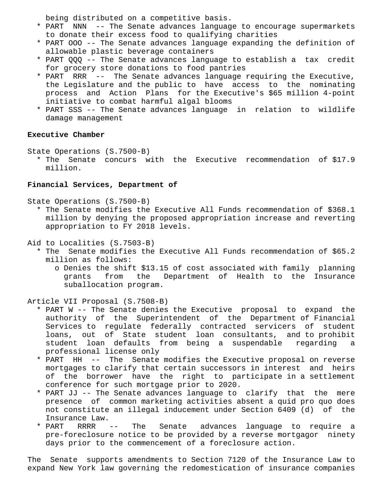being distributed on a competitive basis.

- \* PART NNN -- The Senate advances language to encourage supermarkets to donate their excess food to qualifying charities
- \* PART OOO -- The Senate advances language expanding the definition of allowable plastic beverage containers
- \* PART QQQ -- The Senate advances language to establish a tax credit for grocery store donations to food pantries
- \* PART RRR -- The Senate advances language requiring the Executive, the Legislature and the public to have access to the nominating process and Action Plans for the Executive's \$65 million 4-point initiative to combat harmful algal blooms
- \* PART SSS -- The Senate advances language in relation to wildlife damage management

## **Executive Chamber**

State Operations (S.7500-B)

 \* The Senate concurs with the Executive recommendation of \$17.9 million.

# **Financial Services, Department of**

State Operations (S.7500-B)

- \* The Senate modifies the Executive All Funds recommendation of \$368.1 million by denying the proposed appropriation increase and reverting appropriation to FY 2018 levels.
- Aid to Localities (S.7503-B)
	- \* The Senate modifies the Executive All Funds recommendation of \$65.2 million as follows:
		- o Denies the shift \$13.15 of cost associated with family planning grants from the Department of Health to the Insurance suballocation program.

Article VII Proposal (S.7508-B)

- \* PART W -- The Senate denies the Executive proposal to expand the authority of the Superintendent of the Department of Financial Services to regulate federally contracted servicers of student loans, out of State student loan consultants, and to prohibit student loan defaults from being a suspendable regarding a professional license only
- \* PART HH -- The Senate modifies the Executive proposal on reverse mortgages to clarify that certain successors in interest and heirs of the borrower have the right to participate in a settlement conference for such mortgage prior to 2020.
- \* PART JJ -- The Senate advances language to clarify that the mere presence of common marketing activities absent a quid pro quo does not constitute an illegal inducement under Section 6409 (d) of the Insurance Law.
- \* PART RRRR -- The Senate advances language to require a pre-foreclosure notice to be provided by a reverse mortgagor ninety days prior to the commencement of a foreclosure action.

The Senate supports amendments to Section 7120 of the Insurance Law to expand New York law governing the redomestication of insurance companies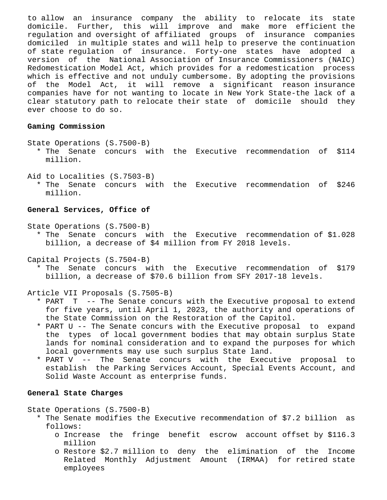to allow an insurance company the ability to relocate its state domicile. Further, this will improve and make more efficient the regulation and oversight of affiliated groups of insurance companies domiciled in multiple states and will help to preserve the continuation of state regulation of insurance. Forty-one states have adopted a version of the National Association of Insurance Commissioners (NAIC) Redomestication Model Act, which provides for a redomestication process which is effective and not unduly cumbersome. By adopting the provisions of the Model Act, it will remove a significant reason insurance companies have for not wanting to locate in New York State-the lack of a clear statutory path to relocate their state of domicile should they ever choose to do so.

# **Gaming Commission**

State Operations (S.7500-B)

- \* The Senate concurs with the Executive recommendation of \$114 million.
- Aid to Localities (S.7503-B) \* The Senate concurs with the Executive recommendation of \$246 million.

# **General Services, Office of**

State Operations (S.7500-B)

 \* The Senate concurs with the Executive recommendation of \$1.028 billion, a decrease of \$4 million from FY 2018 levels.

Capital Projects (S.7504-B)

 \* The Senate concurs with the Executive recommendation of \$179 billion, a decrease of \$70.6 billion from SFY 2017-18 levels.

Article VII Proposals (S.7505-B)

- \* PART T -- The Senate concurs with the Executive proposal to extend for five years, until April 1, 2023, the authority and operations of the State Commission on the Restoration of the Capitol.
- \* PART U -- The Senate concurs with the Executive proposal to expand the types of local government bodies that may obtain surplus State lands for nominal consideration and to expand the purposes for which local governments may use such surplus State land.
- \* PART V -- The Senate concurs with the Executive proposal to establish the Parking Services Account, Special Events Account, and Solid Waste Account as enterprise funds.

# **General State Charges**

State Operations (S.7500-B)

- \* The Senate modifies the Executive recommendation of \$7.2 billion as follows:
	- o Increase the fringe benefit escrow account offset by \$116.3 million
	- o Restore \$2.7 million to deny the elimination of the Income Related Monthly Adjustment Amount (IRMAA) for retired state employees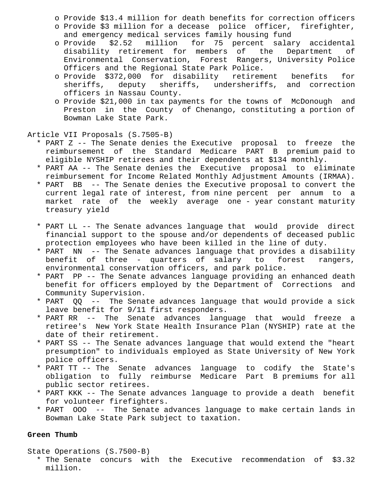o Provide \$13.4 million for death benefits for correction officers

- o Provide \$3 million for a decease police officer, firefighter, and emergency medical services family housing fund
- o Provide \$2.52 million for 75 percent salary accidental disability retirement for members of the Department of Environmental Conservation, Forest Rangers, University Police Officers and the Regional State Park Police.
- o Provide \$372,000 for disability retirement benefits for sheriffs, deputy sheriffs, undersheriffs, and correction officers in Nassau County.
- o Provide \$21,000 in tax payments for the towns of McDonough and Preston in the County of Chenango, constituting a portion of Bowman Lake State Park.

Article VII Proposals (S.7505-B)

- \* PART Z -- The Senate denies the Executive proposal to freeze the reimbursement of the Standard Medicare PART B premium paid to eligible NYSHIP retirees and their dependents at \$134 monthly.
- \* PART AA -- The Senate denies the Executive proposal to eliminate reimbursement for Income Related Monthly Adjustment Amounts (IRMAA).
- \* PART BB -- The Senate denies the Executive proposal to convert the current legal rate of interest, from nine percent per annum to a market rate of the weekly average one - year constant maturity treasury yield
- \* PART LL -- The Senate advances language that would provide direct financial support to the spouse and/or dependents of deceased public protection employees who have been killed in the line of duty.
- \* PART NN -- The Senate advances language that provides a disability benefit of three - quarters of salary to forest rangers, environmental conservation officers, and park police.
- \* PART PP -- The Senate advances language providing an enhanced death benefit for officers employed by the Department of Corrections and Community Supervision.
- \* PART QQ -- The Senate advances language that would provide a sick leave benefit for 9/11 first responders.
- \* PART RR -- The Senate advances language that would freeze a retiree's New York State Health Insurance Plan (NYSHIP) rate at the date of their retirement.
- \* PART SS -- The Senate advances language that would extend the "heart presumption" to individuals employed as State University of New York police officers.
- \* PART TT -- The Senate advances language to codify the State's obligation to fully reimburse Medicare Part B premiums for all public sector retirees.
- \* PART KKK -- The Senate advances language to provide a death benefit for volunteer firefighters.
- \* PART OOO -- The Senate advances language to make certain lands in Bowman Lake State Park subject to taxation.

# **Green Thumb**

State Operations (S.7500-B)

 \* The Senate concurs with the Executive recommendation of \$3.32 million.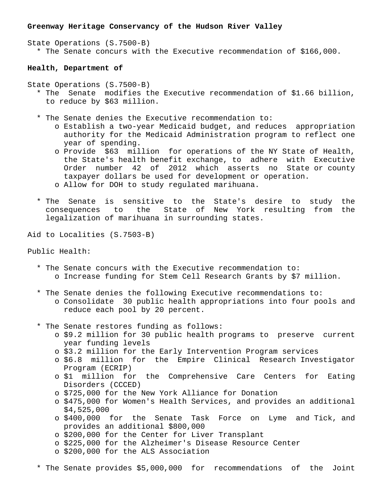#### **Greenway Heritage Conservancy of the Hudson River Valley**

State Operations (S.7500-B) \* The Senate concurs with the Executive recommendation of \$166,000.

#### **Health, Department of**

- State Operations (S.7500-B)
	- \* The Senate modifies the Executive recommendation of \$1.66 billion, to reduce by \$63 million.
	- \* The Senate denies the Executive recommendation to:
		- o Establish a two-year Medicaid budget, and reduces appropriation authority for the Medicaid Administration program to reflect one year of spending.
		- o Provide \$63 million for operations of the NY State of Health, the State's health benefit exchange, to adhere with Executive Order number 42 of 2012 which asserts no State or county taxpayer dollars be used for development or operation. o Allow for DOH to study regulated marihuana.
	- \* The Senate is sensitive to the State's desire to study the consequences to the State of New York resulting from the legalization of marihuana in surrounding states.

Aid to Localities (S.7503-B)

# Public Health:

- \* The Senate concurs with the Executive recommendation to: o Increase funding for Stem Cell Research Grants by \$7 million.
- \* The Senate denies the following Executive recommendations to: o Consolidate 30 public health appropriations into four pools and reduce each pool by 20 percent.
- \* The Senate restores funding as follows:
	- o \$9.2 million for 30 public health programs to preserve current year funding levels
	- o \$3.2 million for the Early Intervention Program services
	- o \$6.8 million for the Empire Clinical Research Investigator Program (ECRIP)
	- o \$1 million for the Comprehensive Care Centers for Eating Disorders (CCCED)
	- o \$725,000 for the New York Alliance for Donation
	- o \$475,000 for Women's Health Services, and provides an additional \$4,525,000
	- o \$400,000 for the Senate Task Force on Lyme and Tick, and provides an additional \$800,000
	- o \$200,000 for the Center for Liver Transplant
	- o \$225,000 for the Alzheimer's Disease Resource Center
	- o \$200,000 for the ALS Association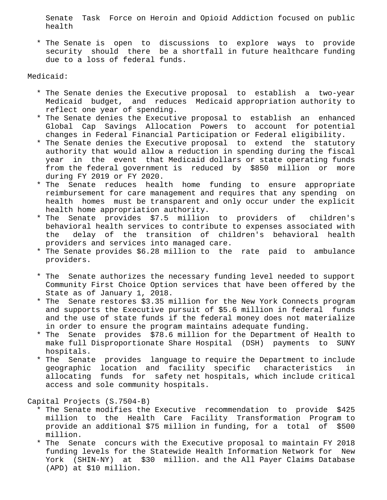Senate Task Force on Heroin and Opioid Addiction focused on public health

 \* The Senate is open to discussions to explore ways to provide security should there be a shortfall in future healthcare funding due to a loss of federal funds.

Medicaid:

- \* The Senate denies the Executive proposal to establish a two-year Medicaid budget, and reduces Medicaid appropriation authority to reflect one year of spending.
- \* The Senate denies the Executive proposal to establish an enhanced Global Cap Savings Allocation Powers to account for potential changes in Federal Financial Participation or Federal eligibility.
- \* The Senate denies the Executive proposal to extend the statutory authority that would allow a reduction in spending during the fiscal year in the event that Medicaid dollars or state operating funds from the federal government is reduced by \$850 million or more during FY 2019 or FY 2020.
- \* The Senate reduces health home funding to ensure appropriate reimbursement for care management and requires that any spending on health homes must be transparent and only occur under the explicit health home appropriation authority.
- \* The Senate provides \$7.5 million to providers of children's behavioral health services to contribute to expenses associated with the delay of the transition of children's behavioral health providers and services into managed care.
- \* The Senate provides \$6.28 million to the rate paid to ambulance providers.
- \* The Senate authorizes the necessary funding level needed to support Community First Choice Option services that have been offered by the State as of January 1, 2018.
- \* The Senate restores \$3.35 million for the New York Connects program and supports the Executive pursuit of \$5.6 million in federal funds and the use of state funds if the federal money does not materialize in order to ensure the program maintains adequate funding.
- \* The Senate provides \$78.6 million for the Department of Health to make full Disproportionate Share Hospital (DSH) payments to SUNY hospitals.
- \* The Senate provides language to require the Department to include geographic location and facility specific characteristics in allocating funds for safety net hospitals, which include critical access and sole community hospitals.

Capital Projects (S.7504-B)

- \* The Senate modifies the Executive recommendation to provide \$425 million to the Health Care Facility Transformation Program to provide an additional \$75 million in funding, for a total of \$500 million.
- \* The Senate concurs with the Executive proposal to maintain FY 2018 funding levels for the Statewide Health Information Network for New York (SHIN-NY) at \$30 million. and the All Payer Claims Database (APD) at \$10 million.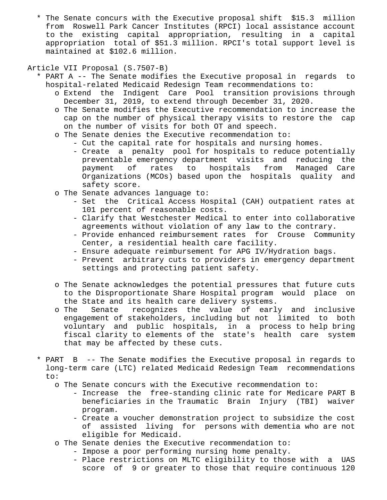\* The Senate concurs with the Executive proposal shift \$15.3 million from Roswell Park Cancer Institutes (RPCI) local assistance account to the existing capital appropriation, resulting in a capital appropriation total of \$51.3 million. RPCI's total support level is maintained at \$102.6 million.

# Article VII Proposal (S.7507-B)

- \* PART A -- The Senate modifies the Executive proposal in regards to hospital-related Medicaid Redesign Team recommendations to:
	- o Extend the Indigent Care Pool transition provisions through December 31, 2019, to extend through December 31, 2020.
	- o The Senate modifies the Executive recommendation to increase the cap on the number of physical therapy visits to restore the cap on the number of visits for both OT and speech.
	- o The Senate denies the Executive recommendation to:
		- Cut the capital rate for hospitals and nursing homes.
		- Create a penalty pool for hospitals to reduce potentially preventable emergency department visits and reducing the payment of rates to hospitals from Managed Care Organizations (MCOs) based upon the hospitals quality and safety score.
	- o The Senate advances language to:
		- Set the Critical Access Hospital (CAH) outpatient rates at 101 percent of reasonable costs.
		- Clarify that Westchester Medical to enter into collaborative agreements without violation of any law to the contrary.
		- Provide enhanced reimbursement rates for Crouse Community Center, a residential health care facility.
		- Ensure adequate reimbursement for APG IV/Hydration bags.
		- Prevent arbitrary cuts to providers in emergency department settings and protecting patient safety.
	- o The Senate acknowledges the potential pressures that future cuts to the Disproportionate Share Hospital program would place on the State and its health care delivery systems.
	- o The Senate recognizes the value of early and inclusive engagement of stakeholders, including but not limited to both voluntary and public hospitals, in a process to help bring fiscal clarity to elements of the state's health care system that may be affected by these cuts.
- \* PART B -- The Senate modifies the Executive proposal in regards to long-term care (LTC) related Medicaid Redesign Team recommendations to:
	- o The Senate concurs with the Executive recommendation to:
		- Increase the free-standing clinic rate for Medicare PART B beneficiaries in the Traumatic Brain Injury (TBI) waiver program.
		- Create a voucher demonstration project to subsidize the cost of assisted living for persons with dementia who are not eligible for Medicaid.
	- o The Senate denies the Executive recommendation to:
		- Impose a poor performing nursing home penalty.
		- Place restrictions on MLTC eligibility to those with a UAS score of 9 or greater to those that require continuous 120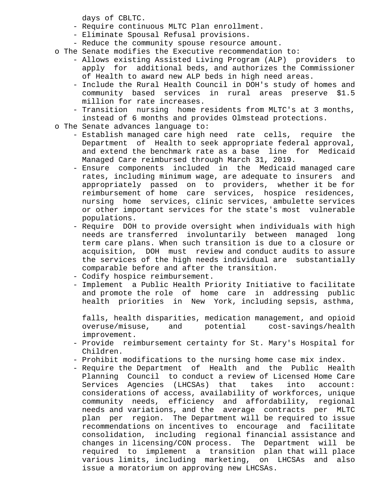days of CBLTC.

- Require continuous MLTC Plan enrollment.
- Eliminate Spousal Refusal provisions.
- Reduce the community spouse resource amount.
- o The Senate modifies the Executive recommendation to:
	- Allows existing Assisted Living Program (ALP) providers to apply for additional beds, and authorizes the Commissioner of Health to award new ALP beds in high need areas.
	- Include the Rural Health Council in DOH's study of homes and community based services in rural areas preserve \$1.5 million for rate increases.
	- Transition nursing home residents from MLTC's at 3 months, instead of 6 months and provides Olmstead protections.
- o The Senate advances language to:
	- Establish managed care high need rate cells, require the Department of Health to seek appropriate federal approval, and extend the benchmark rate as a base line for Medicaid Managed Care reimbursed through March 31, 2019.
	- Ensure components included in the Medicaid managed care rates, including minimum wage, are adequate to insurers and appropriately passed on to providers, whether it be for reimbursement of home care services, hospice residences, nursing home services, clinic services, ambulette services or other important services for the state's most vulnerable populations.
	- Require DOH to provide oversight when individuals with high needs are transferred involuntarily between managed long term care plans. When such transition is due to a closure or acquisition, DOH must review and conduct audits to assure the services of the high needs individual are substantially comparable before and after the transition.
	- Codify hospice reimbursement.
	- Implement a Public Health Priority Initiative to facilitate and promote the role of home care in addressing public health priorities in New York, including sepsis, asthma,

 falls, health disparities, medication management, and opioid overuse/misuse, and potential cost-savings/health improvement.

- Provide reimbursement certainty for St. Mary's Hospital for Children.
- Prohibit modifications to the nursing home case mix index.
- Require the Department of Health and the Public Health Planning Council to conduct a review of Licensed Home Care Services Agencies (LHCSAs) that takes into account: considerations of access, availability of workforces, unique community needs, efficiency and affordability, regional needs and variations, and the average contracts per MLTC plan per region. The Department will be required to issue recommendations on incentives to encourage and facilitate consolidation, including regional financial assistance and changes in licensing/CON process. The Department will be required to implement a transition plan that will place various limits, including marketing, on LHCSAs and also issue a moratorium on approving new LHCSAs.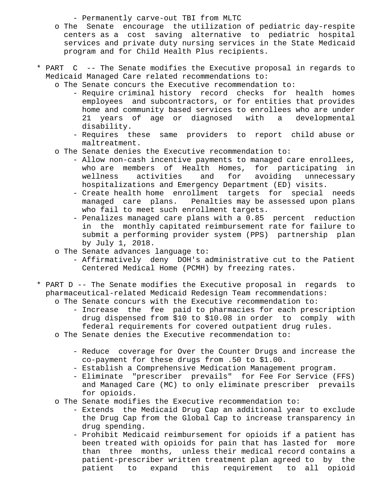- Permanently carve-out TBI from MLTC

- o The Senate encourage the utilization of pediatric day-respite centers as a cost saving alternative to pediatric hospital services and private duty nursing services in the State Medicaid program and for Child Health Plus recipients.
- \* PART C -- The Senate modifies the Executive proposal in regards to Medicaid Managed Care related recommendations to:
	- o The Senate concurs the Executive recommendation to:
		- Require criminal history record checks for health homes employees and subcontractors, or for entities that provides home and community based services to enrollees who are under 21 years of age or diagnosed with a developmental disability.
		- Requires these same providers to report child abuse or maltreatment.
	- o The Senate denies the Executive recommendation to:
		- Allow non-cash incentive payments to managed care enrollees, who are members of Health Homes, for participating in wellness activities and for avoiding unnecessary hospitalizations and Emergency Department (ED) visits.
		- Create health home enrollment targets for special needs managed care plans. Penalties may be assessed upon plans who fail to meet such enrollment targets.
		- Penalizes managed care plans with a 0.85 percent reduction in the monthly capitated reimbursement rate for failure to submit a performing provider system (PPS) partnership plan by July 1, 2018.
	- o The Senate advances language to:
		- Affirmatively deny DOH's administrative cut to the Patient Centered Medical Home (PCMH) by freezing rates.
- \* PART D -- The Senate modifies the Executive proposal in regards to pharmaceutical-related Medicaid Redesign Team recommendations:
	- o The Senate concurs with the Executive recommendation to:
		- Increase the fee paid to pharmacies for each prescription drug dispensed from \$10 to \$10.08 in order to comply with federal requirements for covered outpatient drug rules.
	- o The Senate denies the Executive recommendation to:
		- Reduce coverage for Over the Counter Drugs and increase the co-payment for these drugs from .50 to \$1.00.
		- Establish a Comprehensive Medication Management program.
		- Eliminate "prescriber prevails" for Fee For Service (FFS) and Managed Care (MC) to only eliminate prescriber prevails for opioids.
	- o The Senate modifies the Executive recommendation to:
		- Extends the Medicaid Drug Cap an additional year to exclude the Drug Cap from the Global Cap to increase transparency in drug spending.
		- Prohibit Medicaid reimbursement for opioids if a patient has been treated with opioids for pain that has lasted for more than three months, unless their medical record contains a patient-prescriber written treatment plan agreed to by the patient to expand this requirement to all opioid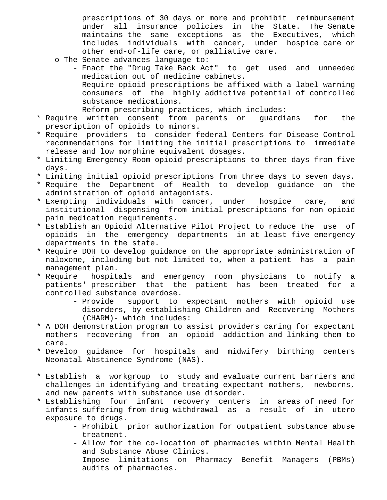prescriptions of 30 days or more and prohibit reimbursement under all insurance policies in the State. The Senate maintains the same exceptions as the Executives, which includes individuals with cancer, under hospice care or other end-of-life care, or palliative care.

- o The Senate advances language to:
	- Enact the "Drug Take Back Act" to get used and unneeded medication out of medicine cabinets.
	- Require opioid prescriptions be affixed with a label warning consumers of the highly addictive potential of controlled substance medications.
	- Reform prescribing practices, which includes:
- \* Require written consent from parents or guardians for the prescription of opioids to minors.
- \* Require providers to consider federal Centers for Disease Control recommendations for limiting the initial prescriptions to immediate release and low morphine equivalent dosages.
- \* Limiting Emergency Room opioid prescriptions to three days from five days.
- \* Limiting initial opioid prescriptions from three days to seven days.
- \* Require the Department of Health to develop guidance on the administration of opioid antagonists.
- \* Exempting individuals with cancer, under hospice care, and institutional dispensing from initial prescriptions for non-opioid pain medication requirements.
- \* Establish an Opioid Alternative Pilot Project to reduce the use of opioids in the emergency departments in at least five emergency departments in the state.
- \* Require DOH to develop guidance on the appropriate administration of naloxone, including but not limited to, when a patient has a pain management plan.
- \* Require hospitals and emergency room physicians to notify a patients' prescriber that the patient has been treated for a controlled substance overdose.
	- Provide support to expectant mothers with opioid use disorders, by establishing Children and Recovering Mothers (CHARM)- which includes:
- \* A DOH demonstration program to assist providers caring for expectant mothers recovering from an opioid addiction and linking them to care.
- \* Develop guidance for hospitals and midwifery birthing centers Neonatal Abstinence Syndrome (NAS).
- \* Establish a workgroup to study and evaluate current barriers and challenges in identifying and treating expectant mothers, newborns, and new parents with substance use disorder.
- \* Establishing four infant recovery centers in areas of need for infants suffering from drug withdrawal as a result of in utero exposure to drugs.
	- Prohibit prior authorization for outpatient substance abuse treatment.
	- Allow for the co-location of pharmacies within Mental Health and Substance Abuse Clinics.
	- Impose limitations on Pharmacy Benefit Managers (PBMs) audits of pharmacies.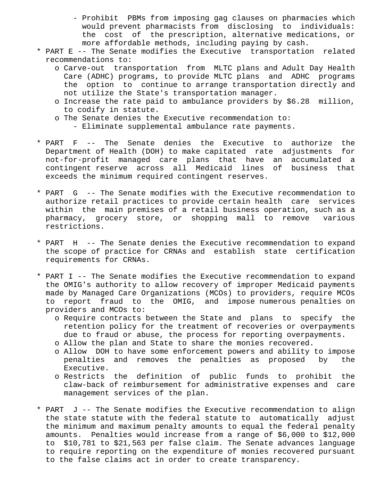- Prohibit PBMs from imposing gag clauses on pharmacies which would prevent pharmacists from disclosing to individuals: the cost of the prescription, alternative medications, or more affordable methods, including paying by cash.
- \* PART E -- The Senate modifies the Executive transportation related recommendations to:
	- o Carve-out transportation from MLTC plans and Adult Day Health Care (ADHC) programs, to provide MLTC plans and ADHC programs the option to continue to arrange transportation directly and not utilize the State's transportation manager.
	- o Increase the rate paid to ambulance providers by \$6.28 million, to codify in statute.
	- o The Senate denies the Executive recommendation to:
		- Eliminate supplemental ambulance rate payments.
- \* PART F -- The Senate denies the Executive to authorize the Department of Health (DOH) to make capitated rate adjustments for not-for-profit managed care plans that have an accumulated a contingent reserve across all Medicaid lines of business that exceeds the minimum required contingent reserves.
- \* PART G -- The Senate modifies with the Executive recommendation to authorize retail practices to provide certain health care services within the main premises of a retail business operation, such as a pharmacy, grocery store, or shopping mall to remove various restrictions.
- \* PART H -- The Senate denies the Executive recommendation to expand the scope of practice for CRNAs and establish state certification requirements for CRNAs.
- \* PART I -- The Senate modifies the Executive recommendation to expand the OMIG's authority to allow recovery of improper Medicaid payments made by Managed Care Organizations (MCOs) to providers, require MCOs to report fraud to the OMIG, and impose numerous penalties on providers and MCOs to:
	- o Require contracts between the State and plans to specify the retention policy for the treatment of recoveries or overpayments due to fraud or abuse, the process for reporting overpayments.
	- o Allow the plan and State to share the monies recovered.
	- o Allow DOH to have some enforcement powers and ability to impose penalties and removes the penalties as proposed by the Executive.
	- o Restricts the definition of public funds to prohibit the claw-back of reimbursement for administrative expenses and care management services of the plan.
- \* PART J -- The Senate modifies the Executive recommendation to align the state statute with the federal statute to automatically adjust the minimum and maximum penalty amounts to equal the federal penalty amounts. Penalties would increase from a range of \$6,000 to \$12,000 to \$10,781 to \$21,563 per false claim. The Senate advances language to require reporting on the expenditure of monies recovered pursuant to the false claims act in order to create transparency.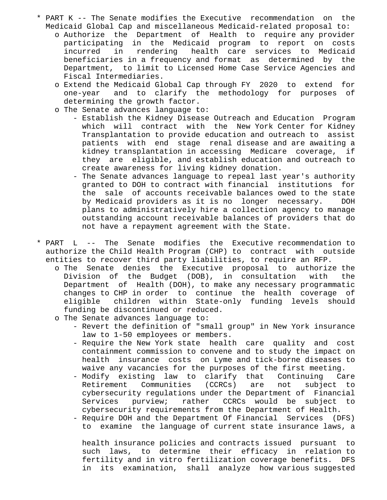- \* PART K -- The Senate modifies the Executive recommendation on the Medicaid Global Cap and miscellaneous Medicaid-related proposal to:
	- o Authorize the Department of Health to require any provider participating in the Medicaid program to report on costs incurred in rendering health care services to Medicaid beneficiaries in a frequency and format as determined by the Department, to limit to Licensed Home Case Service Agencies and Fiscal Intermediaries.
	- o Extend the Medicaid Global Cap through FY 2020 to extend for one-year and to clarify the methodology for purposes of determining the growth factor.
	- o The Senate advances language to:
		- Establish the Kidney Disease Outreach and Education Program which will contract with the New York Center for Kidney Transplantation to provide education and outreach to assist patients with end stage renal disease and are awaiting a kidney transplantation in accessing Medicare coverage, if they are eligible, and establish education and outreach to create awareness for living kidney donation.
		- The Senate advances language to repeal last year's authority granted to DOH to contract with financial institutions for the sale of accounts receivable balances owed to the state by Medicaid providers as it is no longer necessary. DOH plans to administratively hire a collection agency to manage outstanding account receivable balances of providers that do not have a repayment agreement with the State.
- \* PART L -- The Senate modifies the Executive recommendation to authorize the Child Health Program (CHP) to contract with outside entities to recover third party liabilities, to require an RFP.
	- o The Senate denies the Executive proposal to authorize the Division of the Budget (DOB), in consultation with the Department of Health (DOH), to make any necessary programmatic changes to CHP in order to continue the health coverage of eligible children within State-only funding levels should funding be discontinued or reduced.
	- o The Senate advances language to:
		- Revert the definition of "small group" in New York insurance law to 1-50 employees or members.
		- Require the New York state health care quality and cost containment commission to convene and to study the impact on health insurance costs on Lyme and tick-borne diseases to waive any vacancies for the purposes of the first meeting.
		- Modify existing law to clarify that Continuing Care Retirement Communities (CCRCs) are not subject to cybersecurity regulations under the Department of Financial Services purview; rather CCRCs would be subject to cybersecurity requirements from the Department of Health.
		- Require DOH and the Department Of Financial Services (DFS) to examine the language of current state insurance laws, a

 health insurance policies and contracts issued pursuant to such laws, to determine their efficacy in relation to fertility and in vitro fertilization coverage benefits. DFS in its examination, shall analyze how various suggested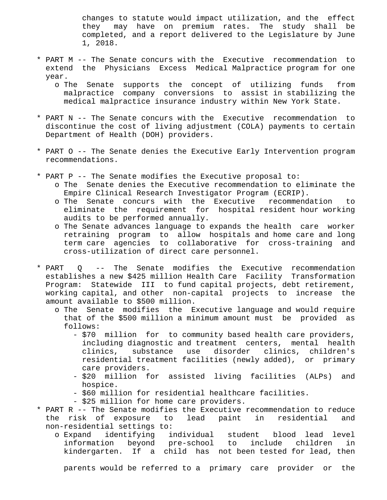changes to statute would impact utilization, and the effect they may have on premium rates. The study shall be completed, and a report delivered to the Legislature by June 1, 2018.

- \* PART M -- The Senate concurs with the Executive recommendation to extend the Physicians Excess Medical Malpractice program for one year.
	- o The Senate supports the concept of utilizing funds from malpractice company conversions to assist in stabilizing the medical malpractice insurance industry within New York State.
- \* PART N -- The Senate concurs with the Executive recommendation to discontinue the cost of living adjustment (COLA) payments to certain Department of Health (DOH) providers.
- \* PART O -- The Senate denies the Executive Early Intervention program recommendations.
- \* PART P -- The Senate modifies the Executive proposal to: o The Senate denies the Executive recommendation to eliminate the Empire Clinical Research Investigator Program (ECRIP).
	- o The Senate concurs with the Executive recommendation to eliminate the requirement for hospital resident hour working audits to be performed annually.
	- o The Senate advances language to expands the health care worker retraining program to allow hospitals and home care and long term care agencies to collaborative for cross-training and cross-utilization of direct care personnel.
- \* PART Q -- The Senate modifies the Executive recommendation establishes a new \$425 million Health Care Facility Transformation Program: Statewide III to fund capital projects, debt retirement, working capital, and other non-capital projects to increase the amount available to \$500 million.
	- o The Senate modifies the Executive language and would require that of the \$500 million a minimum amount must be provided as follows:
		- \$70 million for to community based health care providers, including diagnostic and treatment centers, mental health clinics, substance use disorder clinics, children's residential treatment facilities (newly added), or primary care providers.
		- \$20 million for assisted living facilities (ALPs) and hospice.
		- \$60 million for residential healthcare facilities.
		- \$25 million for home care providers.
- \* PART R -- The Senate modifies the Executive recommendation to reduce the risk of exposure to lead paint in residential and non-residential settings to:
	- o Expand identifying individual student blood lead level information beyond pre-school to include children in kindergarten. If a child has not been tested for lead, then

parents would be referred to a primary care provider or the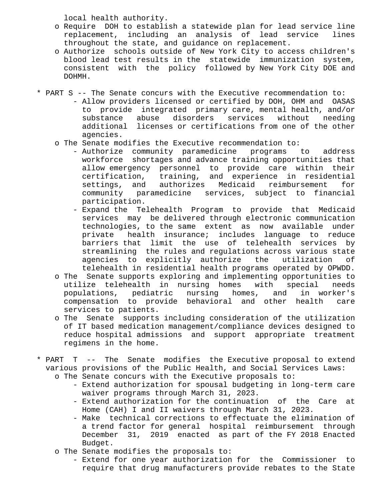local health authority.

- o Require DOH to establish a statewide plan for lead service line replacement, including an analysis of lead service lines throughout the state, and guidance on replacement.
- o Authorize schools outside of New York City to access children's blood lead test results in the statewide immunization system, consistent with the policy followed by New York City DOE and DOHMH.
- \* PART S -- The Senate concurs with the Executive recommendation to:
	- Allow providers licensed or certified by DOH, OHM and OASAS to provide integrated primary care, mental health, and/or substance abuse disorders services without needing additional licenses or certifications from one of the other agencies.
	- o The Senate modifies the Executive recommendation to:
		- Authorize community paramedicine programs to address workforce shortages and advance training opportunities that allow emergency personnel to provide care within their certification, training, and experience in residential settings, and authorizes Medicaid reimbursement for community paramedicine services, subject to financial participation.
		- Expand the Telehealth Program to provide that Medicaid services may be delivered through electronic communication technologies, to the same extent as now available under private health insurance; includes language to reduce barriers that limit the use of telehealth services by streamlining the rules and regulations across various state agencies to explicitly authorize the utilization of telehealth in residential health programs operated by OPWDD.
	- o The Senate supports exploring and implementing opportunities to utilize telehealth in nursing homes with special needs populations, pediatric nursing homes, and in worker's compensation to provide behavioral and other health care services to patients.
	- o The Senate supports including consideration of the utilization of IT based medication management/compliance devices designed to reduce hospital admissions and support appropriate treatment regimens in the home.
- \* PART T -- The Senate modifies the Executive proposal to extend various provisions of the Public Health, and Social Services Laws:
	- o The Senate concurs with the Executive proposals to:
		- Extend authorization for spousal budgeting in long-term care waiver programs through March 31, 2023.
		- Extend authorization for the continuation of the Care at Home (CAH) I and II waivers through March 31, 2023.
		- Make technical corrections to effectuate the elimination of a trend factor for general hospital reimbursement through December 31, 2019 enacted as part of the FY 2018 Enacted Budget.
	- o The Senate modifies the proposals to:
		- Extend for one year authorization for the Commissioner to require that drug manufacturers provide rebates to the State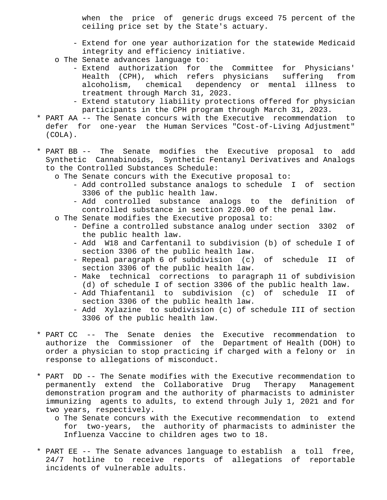when the price of generic drugs exceed 75 percent of the ceiling price set by the State's actuary.

- Extend for one year authorization for the statewide Medicaid integrity and efficiency initiative.
- o The Senate advances language to:
	- Extend authorization for the Committee for Physicians' Health (CPH), which refers physicians suffering from alcoholism, chemical dependency or mental illness to treatment through March 31, 2023.
	- Extend statutory liability protections offered for physician participants in the CPH program through March 31, 2023.
- \* PART AA -- The Senate concurs with the Executive recommendation to defer for one-year the Human Services "Cost-of-Living Adjustment" (COLA).
- \* PART BB -- The Senate modifies the Executive proposal to add Synthetic Cannabinoids, Synthetic Fentanyl Derivatives and Analogs to the Controlled Substances Schedule:
	- o The Senate concurs with the Executive proposal to:
		- Add controlled substance analogs to schedule I of section 3306 of the public health law.
		- Add controlled substance analogs to the definition of controlled substance in section 220.00 of the penal law.
	- o The Senate modifies the Executive proposal to:
		- Define a controlled substance analog under section 3302 of the public health law.
		- Add W18 and Carfentanil to subdivision (b) of schedule I of section 3306 of the public health law.
		- Repeal paragraph 6 of subdivision (c) of schedule II of section 3306 of the public health law.
		- Make technical corrections to paragraph 11 of subdivision (d) of schedule I of section 3306 of the public health law.
		- Add Thiafentanil to subdivision (c) of schedule II of section 3306 of the public health law.
		- Add Xylazine to subdivision (c) of schedule III of section 3306 of the public health law.
- \* PART CC -- The Senate denies the Executive recommendation to authorize the Commissioner of the Department of Health (DOH) to order a physician to stop practicing if charged with a felony or in response to allegations of misconduct.
- \* PART DD -- The Senate modifies with the Executive recommendation to permanently extend the Collaborative Drug Therapy Management demonstration program and the authority of pharmacists to administer immunizing agents to adults, to extend through July 1, 2021 and for two years, respectively.
	- o The Senate concurs with the Executive recommendation to extend for two-years, the authority of pharmacists to administer the Influenza Vaccine to children ages two to 18.
- \* PART EE -- The Senate advances language to establish a toll free, 24/7 hotline to receive reports of allegations of reportable incidents of vulnerable adults.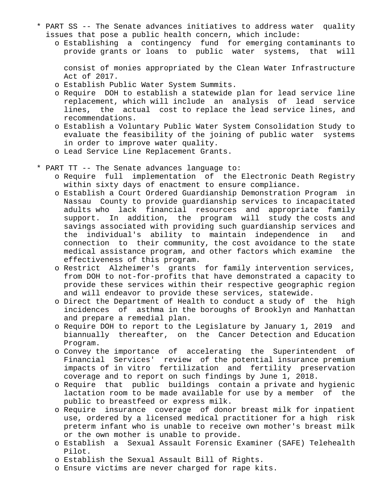- \* PART SS -- The Senate advances initiatives to address water quality issues that pose a public health concern, which include:
	- o Establishing a contingency fund for emerging contaminants to provide grants or loans to public water systems, that will

 consist of monies appropriated by the Clean Water Infrastructure Act of 2017.

- o Establish Public Water System Summits.
- o Require DOH to establish a statewide plan for lead service line replacement, which will include an analysis of lead service lines, the actual cost to replace the lead service lines, and recommendations.
- o Establish a Voluntary Public Water System Consolidation Study to evaluate the feasibility of the joining of public water systems in order to improve water quality.
- o Lead Service Line Replacement Grants.
- \* PART TT -- The Senate advances language to:
	- o Require full implementation of the Electronic Death Registry within sixty days of enactment to ensure compliance.
	- o Establish a Court Ordered Guardianship Demonstration Program in Nassau County to provide guardianship services to incapacitated adults who lack financial resources and appropriate family support. In addition, the program will study the costs and savings associated with providing such guardianship services and the individual's ability to maintain independence in and connection to their community, the cost avoidance to the state medical assistance program, and other factors which examine the effectiveness of this program.
	- o Restrict Alzheimer's grants for family intervention services, from DOH to not-for-profits that have demonstrated a capacity to provide these services within their respective geographic region and will endeavor to provide these services, statewide.
	- o Direct the Department of Health to conduct a study of the high incidences of asthma in the boroughs of Brooklyn and Manhattan and prepare a remedial plan.
	- o Require DOH to report to the Legislature by January 1, 2019 and biannually thereafter, on the Cancer Detection and Education Program.
	- o Convey the importance of accelerating the Superintendent of Financial Services' review of the potential insurance premium impacts of in vitro fertilization and fertility preservation coverage and to report on such findings by June 1, 2018.
	- o Require that public buildings contain a private and hygienic lactation room to be made available for use by a member of the public to breastfeed or express milk.
	- o Require insurance coverage of donor breast milk for inpatient use, ordered by a licensed medical practitioner for a high risk preterm infant who is unable to receive own mother's breast milk or the own mother is unable to provide.
	- o Establish a Sexual Assault Forensic Examiner (SAFE) Telehealth Pilot.
	- o Establish the Sexual Assault Bill of Rights.
	- o Ensure victims are never charged for rape kits.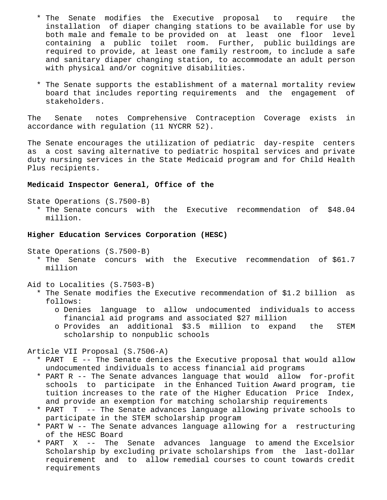- \* The Senate modifies the Executive proposal to require the installation of diaper changing stations to be available for use by both male and female to be provided on at least one floor level containing a public toilet room. Further, public buildings are required to provide, at least one family restroom, to include a safe and sanitary diaper changing station, to accommodate an adult person with physical and/or cognitive disabilities.
- \* The Senate supports the establishment of a maternal mortality review board that includes reporting requirements and the engagement of stakeholders.

The Senate notes Comprehensive Contraception Coverage exists in accordance with regulation (11 NYCRR 52).

The Senate encourages the utilization of pediatric day-respite centers as a cost saving alternative to pediatric hospital services and private duty nursing services in the State Medicaid program and for Child Health Plus recipients.

## **Medicaid Inspector General, Office of the**

State Operations (S.7500-B)

 \* The Senate concurs with the Executive recommendation of \$48.04 million.

## **Higher Education Services Corporation (HESC)**

State Operations (S.7500-B)

- \* The Senate concurs with the Executive recommendation of \$61.7 million
- Aid to Localities (S.7503-B)
	- \* The Senate modifies the Executive recommendation of \$1.2 billion as follows:
		- o Denies language to allow undocumented individuals to access financial aid programs and associated \$27 million
		- o Provides an additional \$3.5 million to expand the STEM scholarship to nonpublic schools

Article VII Proposal (S.7506-A)

- \* PART E -- The Senate denies the Executive proposal that would allow undocumented individuals to access financial aid programs
- \* PART R -- The Senate advances language that would allow for-profit schools to participate in the Enhanced Tuition Award program, tie tuition increases to the rate of the Higher Education Price Index, and provide an exemption for matching scholarship requirements
- \* PART T -- The Senate advances language allowing private schools to participate in the STEM scholarship program
- \* PART W -- The Senate advances language allowing for a restructuring of the HESC Board
- \* PART X -- The Senate advances language to amend the Excelsior Scholarship by excluding private scholarships from the last-dollar requirement and to allow remedial courses to count towards credit requirements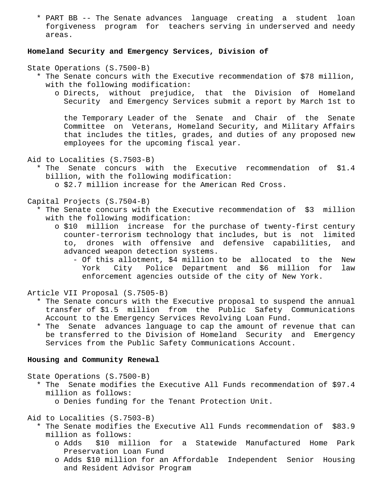\* PART BB -- The Senate advances language creating a student loan forgiveness program for teachers serving in underserved and needy areas.

## **Homeland Security and Emergency Services, Division of**

State Operations (S.7500-B)

- \* The Senate concurs with the Executive recommendation of \$78 million, with the following modification:
	- o Directs, without prejudice, that the Division of Homeland Security and Emergency Services submit a report by March 1st to

 the Temporary Leader of the Senate and Chair of the Senate Committee on Veterans, Homeland Security, and Military Affairs that includes the titles, grades, and duties of any proposed new employees for the upcoming fiscal year.

Aid to Localities (S.7503-B)

 \* The Senate concurs with the Executive recommendation of \$1.4 billion, with the following modification:

o \$2.7 million increase for the American Red Cross.

Capital Projects (S.7504-B)

- \* The Senate concurs with the Executive recommendation of \$3 million with the following modification:
	- o \$10 million increase for the purchase of twenty-first century counter-terrorism technology that includes, but is not limited to, drones with offensive and defensive capabilities, and advanced weapon detection systems.
		- Of this allotment, \$4 million to be allocated to the New York City Police Department and \$6 million for law enforcement agencies outside of the city of New York.

Article VII Proposal (S.7505-B)

- \* The Senate concurs with the Executive proposal to suspend the annual transfer of \$1.5 million from the Public Safety Communications Account to the Emergency Services Revolving Loan Fund.
- \* The Senate advances language to cap the amount of revenue that can be transferred to the Division of Homeland Security and Emergency Services from the Public Safety Communications Account.

### **Housing and Community Renewal**

State Operations (S.7500-B)

- \* The Senate modifies the Executive All Funds recommendation of \$97.4 million as follows:
	- o Denies funding for the Tenant Protection Unit.

Aid to Localities (S.7503-B)

- \* The Senate modifies the Executive All Funds recommendation of \$83.9 million as follows:
	- o Adds \$10 million for a Statewide Manufactured Home Park Preservation Loan Fund
	- o Adds \$10 million for an Affordable Independent Senior Housing and Resident Advisor Program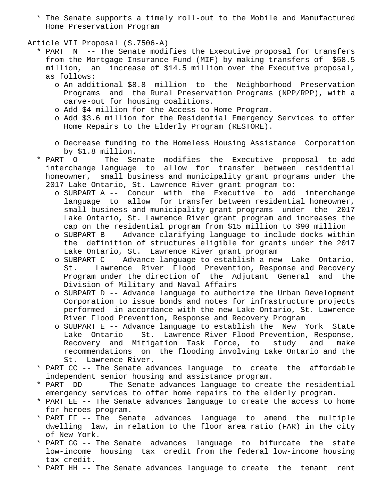\* The Senate supports a timely roll-out to the Mobile and Manufactured Home Preservation Program

Article VII Proposal (S.7506-A)

- \* PART N -- The Senate modifies the Executive proposal for transfers from the Mortgage Insurance Fund (MIF) by making transfers of \$58.5 million, an increase of \$14.5 million over the Executive proposal, as follows:
	- o An additional \$8.8 million to the Neighborhood Preservation Programs and the Rural Preservation Programs (NPP/RPP), with a carve-out for housing coalitions.
	- o Add \$4 million for the Access to Home Program.
	- o Add \$3.6 million for the Residential Emergency Services to offer Home Repairs to the Elderly Program (RESTORE).
	- o Decrease funding to the Homeless Housing Assistance Corporation by \$1.8 million.
- \* PART O -- The Senate modifies the Executive proposal to add interchange language to allow for transfer between residential homeowner, small business and municipality grant programs under the 2017 Lake Ontario, St. Lawrence River grant program to:
	- o SUBPART A -- Concur with the Executive to add interchange language to allow for transfer between residential homeowner, small business and municipality grant programs under the 2017 Lake Ontario, St. Lawrence River grant program and increases the cap on the residential program from \$15 million to \$90 million
	- o SUBPART B -- Advance clarifying language to include docks within the definition of structures eligible for grants under the 2017 Lake Ontario, St. Lawrence River grant program
	- o SUBPART C -- Advance language to establish a new Lake Ontario, St. Lawrence River Flood Prevention, Response and Recovery Program under the direction of the Adjutant General and the Division of Military and Naval Affairs
	- o SUBPART D -- Advance language to authorize the Urban Development Corporation to issue bonds and notes for infrastructure projects performed in accordance with the new Lake Ontario, St. Lawrence River Flood Prevention, Response and Recovery Program
	- o SUBPART E -- Advance language to establish the New York State Lake Ontario - St. Lawrence River Flood Prevention, Response, Recovery and Mitigation Task Force, to study and make recommendations on the flooding involving Lake Ontario and the St. Lawrence River.
- \* PART CC -- The Senate advances language to create the affordable independent senior housing and assistance program.
- \* PART DD -- The Senate advances language to create the residential emergency services to offer home repairs to the elderly program.
- \* PART EE -- The Senate advances language to create the access to home for heroes program.
- \* PART FF -- The Senate advances language to amend the multiple dwelling law, in relation to the floor area ratio (FAR) in the city of New York.
- \* PART GG -- The Senate advances language to bifurcate the state low-income housing tax credit from the federal low-income housing tax credit.
- \* PART HH -- The Senate advances language to create the tenant rent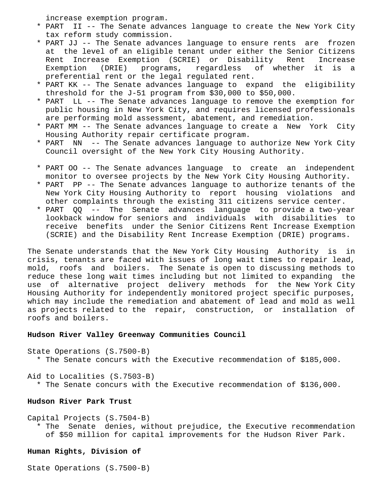increase exemption program.

- \* PART II -- The Senate advances language to create the New York City tax reform study commission.
- \* PART JJ -- The Senate advances language to ensure rents are frozen at the level of an eligible tenant under either the Senior Citizens Rent Increase Exemption (SCRIE) or Disability Rent Increase Exemption (DRIE) programs, regardless of whether it is a preferential rent or the legal regulated rent.
- \* PART KK -- The Senate advances language to expand the eligibility threshold for the J-51 program from \$30,000 to \$50,000.
- \* PART LL -- The Senate advances language to remove the exemption for public housing in New York City, and requires licensed professionals are performing mold assessment, abatement, and remediation.
- \* PART MM -- The Senate advances language to create a New York City Housing Authority repair certificate program.
- \* PART NN -- The Senate advances language to authorize New York City Council oversight of the New York City Housing Authority.
- \* PART OO -- The Senate advances language to create an independent monitor to oversee projects by the New York City Housing Authority.
- \* PART PP -- The Senate advances language to authorize tenants of the New York City Housing Authority to report housing violations and other complaints through the existing 311 citizens service center.
- \* PART QQ -- The Senate advances language to provide a two-year lookback window for seniors and individuals with disabilities to receive benefits under the Senior Citizens Rent Increase Exemption (SCRIE) and the Disability Rent Increase Exemption (DRIE) programs.

The Senate understands that the New York City Housing Authority is in crisis, tenants are faced with issues of long wait times to repair lead, mold, roofs and boilers. The Senate is open to discussing methods to reduce these long wait times including but not limited to expanding the use of alternative project delivery methods for the New York City Housing Authority for independently monitored project specific purposes, which may include the remediation and abatement of lead and mold as well as projects related to the repair, construction, or installation of roofs and boilers.

### **Hudson River Valley Greenway Communities Council**

State Operations (S.7500-B) \* The Senate concurs with the Executive recommendation of \$185,000.

Aid to Localities (S.7503-B)

\* The Senate concurs with the Executive recommendation of \$136,000.

## **Hudson River Park Trust**

Capital Projects (S.7504-B) \* The Senate denies, without prejudice, the Executive recommendation of \$50 million for capital improvements for the Hudson River Park.

# **Human Rights, Division of**

State Operations (S.7500-B)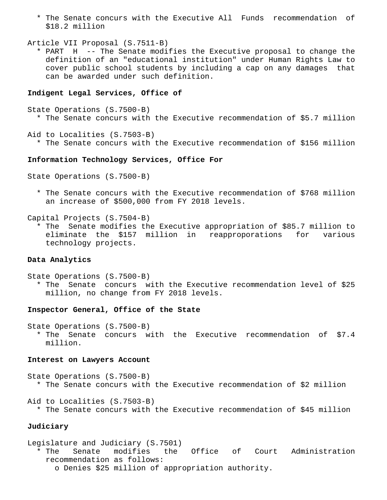\* The Senate concurs with the Executive All Funds recommendation of \$18.2 million

```
Article VII Proposal (S.7511-B)
```
 \* PART H -- The Senate modifies the Executive proposal to change the definition of an "educational institution" under Human Rights Law to cover public school students by including a cap on any damages that can be awarded under such definition.

## **Indigent Legal Services, Office of**

```
State Operations (S.7500-B)
* The Senate concurs with the Executive recommendation of $5.7 million
```
Aid to Localities (S.7503-B) \* The Senate concurs with the Executive recommendation of \$156 million

## **Information Technology Services, Office For**

```
State Operations (S.7500-B)
```
 \* The Senate concurs with the Executive recommendation of \$768 million an increase of \$500,000 from FY 2018 levels.

Capital Projects (S.7504-B)

 \* The Senate modifies the Executive appropriation of \$85.7 million to eliminate the \$157 million in reapproporations for various technology projects.

## **Data Analytics**

State Operations (S.7500-B) \* The Senate concurs with the Executive recommendation level of \$25 million, no change from FY 2018 levels.

### **Inspector General, Office of the State**

State Operations (S.7500-B) \* The Senate concurs with the Executive recommendation of \$7.4 million.

#### **Interest on Lawyers Account**

State Operations (S.7500-B) \* The Senate concurs with the Executive recommendation of \$2 million

Aid to Localities (S.7503-B)

\* The Senate concurs with the Executive recommendation of \$45 million

## **Judiciary**

Legislature and Judiciary (S.7501)

 \* The Senate modifies the Office of Court Administration recommendation as follows:

o Denies \$25 million of appropriation authority.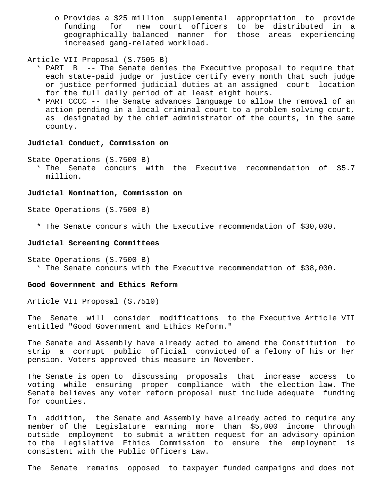o Provides a \$25 million supplemental appropriation to provide funding for new court officers to be distributed in a geographically balanced manner for those areas experiencing increased gang-related workload.

Article VII Proposal (S.7505-B)

- \* PART B -- The Senate denies the Executive proposal to require that each state-paid judge or justice certify every month that such judge or justice performed judicial duties at an assigned court location for the full daily period of at least eight hours.
- \* PART CCCC -- The Senate advances language to allow the removal of an action pending in a local criminal court to a problem solving court, as designated by the chief administrator of the courts, in the same county.

# **Judicial Conduct, Commission on**

State Operations (S.7500-B)

 \* The Senate concurs with the Executive recommendation of \$5.7 million.

### **Judicial Nomination, Commission on**

State Operations (S.7500-B)

\* The Senate concurs with the Executive recommendation of \$30,000.

### **Judicial Screening Committees**

```
State Operations (S.7500-B)
* The Senate concurs with the Executive recommendation of $38,000.
```
## **Good Government and Ethics Reform**

Article VII Proposal (S.7510)

The Senate will consider modifications to the Executive Article VII entitled "Good Government and Ethics Reform."

The Senate and Assembly have already acted to amend the Constitution to strip a corrupt public official convicted of a felony of his or her pension. Voters approved this measure in November.

The Senate is open to discussing proposals that increase access to voting while ensuring proper compliance with the election law. The Senate believes any voter reform proposal must include adequate funding for counties.

In addition, the Senate and Assembly have already acted to require any member of the Legislature earning more than \$5,000 income through outside employment to submit a written request for an advisory opinion to the Legislative Ethics Commission to ensure the employment is consistent with the Public Officers Law.

The Senate remains opposed to taxpayer funded campaigns and does not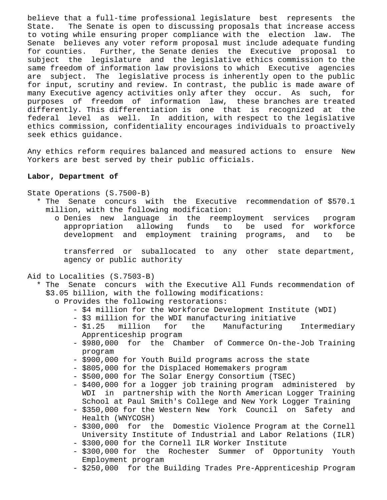believe that a full-time professional legislature best represents the State. The Senate is open to discussing proposals that increase access to voting while ensuring proper compliance with the election law. The Senate believes any voter reform proposal must include adequate funding for counties. Further, the Senate denies the Executive proposal to subject the legislature and the legislative ethics commission to the same freedom of information law provisions to which Executive agencies are subject. The legislative process is inherently open to the public for input, scrutiny and review. In contrast, the public is made aware of many Executive agency activities only after they occur. As such, for purposes of freedom of information law, these branches are treated differently. This differentiation is one that is recognized at the federal level as well. In addition, with respect to the legislative ethics commission, confidentiality encourages individuals to proactively seek ethics guidance.

Any ethics reform requires balanced and measured actions to ensure New Yorkers are best served by their public officials.

## **Labor, Department of**

State Operations (S.7500-B)

- \* The Senate concurs with the Executive recommendation of \$570.1 million, with the following modification:
	- o Denies new language in the reemployment services program appropriation allowing funds to be used for workforce development and employment training programs, and to be

 transferred or suballocated to any other state department, agency or public authority

- Aid to Localities (S.7503-B)
	- \* The Senate concurs with the Executive All Funds recommendation of \$3.05 billion, with the following modifications:
		- o Provides the following restorations:
			- \$4 million for the Workforce Development Institute (WDI)
			- \$3 million for the WDI manufacturing initiative
			- \$1.25 million for the Manufacturing Intermediary Apprenticeship program
			- \$980,000 for the Chamber of Commerce On-the-Job Training program
			- \$900,000 for Youth Build programs across the state
			- \$805,000 for the Displaced Homemakers program
			- \$500,000 for The Solar Energy Consortium (TSEC)
			- \$400,000 for a logger job training program administered by WDI in partnership with the North American Logger Training School at Paul Smith's College and New York Logger Training
			- \$350,000 for the Western New York Council on Safety and Health (WNYCOSH)
			- \$300,000 for the Domestic Violence Program at the Cornell University Institute of Industrial and Labor Relations (ILR)
			- \$300,000 for the Cornell ILR Worker Institute
			- \$300,000 for the Rochester Summer of Opportunity Youth Employment program
			- \$250,000 for the Building Trades Pre-Apprenticeship Program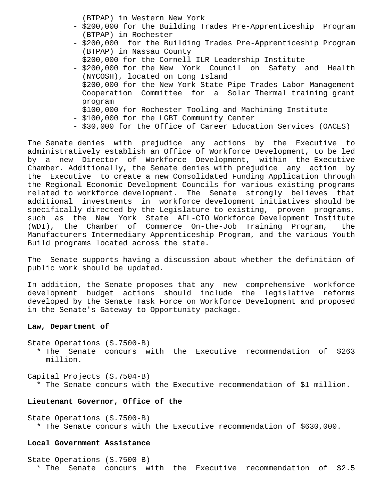(BTPAP) in Western New York

- \$200,000 for the Building Trades Pre-Apprenticeship Program (BTPAP) in Rochester
- \$200,000 for the Building Trades Pre-Apprenticeship Program (BTPAP) in Nassau County
- \$200,000 for the Cornell ILR Leadership Institute
- \$200,000 for the New York Council on Safety and Health (NYCOSH), located on Long Island
- \$200,000 for the New York State Pipe Trades Labor Management Cooperation Committee for a Solar Thermal training grant program
- \$100,000 for Rochester Tooling and Machining Institute
- \$100,000 for the LGBT Community Center
- \$30,000 for the Office of Career Education Services (OACES)

The Senate denies with prejudice any actions by the Executive to administratively establish an Office of Workforce Development, to be led by a new Director of Workforce Development, within the Executive Chamber. Additionally, the Senate denies with prejudice any action by the Executive to create a new Consolidated Funding Application through the Regional Economic Development Councils for various existing programs related to workforce development. The Senate strongly believes that additional investments in workforce development initiatives should be specifically directed by the Legislature to existing, proven programs, such as the New York State AFL-CIO Workforce Development Institute (WDI), the Chamber of Commerce On-the-Job Training Program, the Manufacturers Intermediary Apprenticeship Program, and the various Youth Build programs located across the state.

The Senate supports having a discussion about whether the definition of public work should be updated.

In addition, the Senate proposes that any new comprehensive workforce development budget actions should include the legislative reforms developed by the Senate Task Force on Workforce Development and proposed in the Senate's Gateway to Opportunity package.

# **Law, Department of**

State Operations (S.7500-B) \* The Senate concurs with the Executive recommendation of \$263 million.

Capital Projects (S.7504-B)

\* The Senate concurs with the Executive recommendation of \$1 million.

## **Lieutenant Governor, Office of the**

State Operations (S.7500-B) \* The Senate concurs with the Executive recommendation of \$630,000.

### **Local Government Assistance**

State Operations (S.7500-B) \* The Senate concurs with the Executive recommendation of \$2.5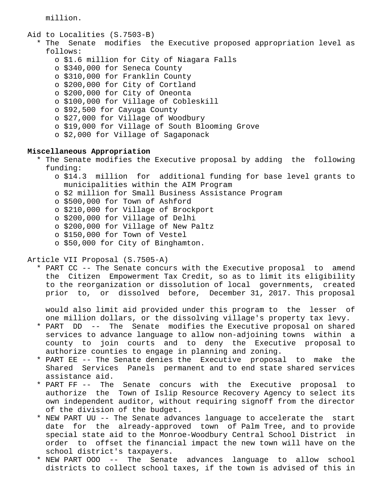million.

- Aid to Localities (S.7503-B)
	- \* The Senate modifies the Executive proposed appropriation level as follows:
		- o \$1.6 million for City of Niagara Falls
		- o \$340,000 for Seneca County
		- o \$310,000 for Franklin County
		- o \$200,000 for City of Cortland
		- o \$200,000 for City of Oneonta
		- o \$100,000 for Village of Cobleskill
		- o \$92,500 for Cayuga County
		- o \$27,000 for Village of Woodbury
		- o \$19,000 for Village of South Blooming Grove
		- o \$2,000 for Village of Sagaponack

# **Miscellaneous Appropriation**

- \* The Senate modifies the Executive proposal by adding the following funding:
	- o \$14.3 million for additional funding for base level grants to municipalities within the AIM Program
	- o \$2 million for Small Business Assistance Program
	- o \$500,000 for Town of Ashford
	- o \$210,000 for Village of Brockport
	- o \$200,000 for Village of Delhi
	- o \$200,000 for Village of New Paltz
	- o \$150,000 for Town of Vestel
	- o \$50,000 for City of Binghamton.

# Article VII Proposal (S.7505-A)

 \* PART CC -- The Senate concurs with the Executive proposal to amend the Citizen Empowerment Tax Credit, so as to limit its eligibility to the reorganization or dissolution of local governments, created prior to, or dissolved before, December 31, 2017. This proposal

 would also limit aid provided under this program to the lesser of one million dollars, or the dissolving village's property tax levy.

- \* PART DD -- The Senate modifies the Executive proposal on shared services to advance language to allow non-adjoining towns within a county to join courts and to deny the Executive proposal to authorize counties to engage in planning and zoning.
- \* PART EE -- The Senate denies the Executive proposal to make the Shared Services Panels permanent and to end state shared services assistance aid.
- \* PART FF -- The Senate concurs with the Executive proposal to authorize the Town of Islip Resource Recovery Agency to select its own independent auditor, without requiring signoff from the director of the division of the budget.
- \* NEW PART UU -- The Senate advances language to accelerate the start date for the already-approved town of Palm Tree, and to provide special state aid to the Monroe-Woodbury Central School District in order to offset the financial impact the new town will have on the school district's taxpayers.
- \* NEW PART OOO -- The Senate advances language to allow school districts to collect school taxes, if the town is advised of this in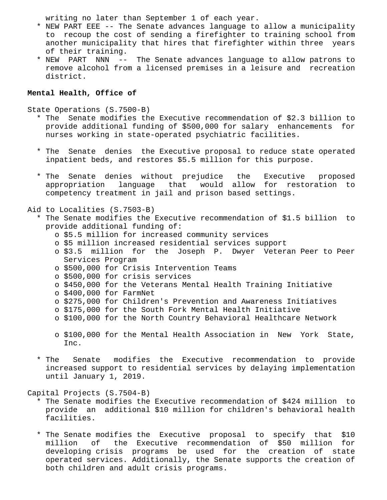writing no later than September 1 of each year.

- \* NEW PART EEE -- The Senate advances language to allow a municipality to recoup the cost of sending a firefighter to training school from another municipality that hires that firefighter within three years of their training.
- \* NEW PART NNN -- The Senate advances language to allow patrons to remove alcohol from a licensed premises in a leisure and recreation district.

# **Mental Health, Office of**

State Operations (S.7500-B)

- \* The Senate modifies the Executive recommendation of \$2.3 billion to provide additional funding of \$500,000 for salary enhancements for nurses working in state-operated psychiatric facilities.
- \* The Senate denies the Executive proposal to reduce state operated inpatient beds, and restores \$5.5 million for this purpose.
- \* The Senate denies without prejudice the Executive proposed appropriation language that would allow for restoration to competency treatment in jail and prison based settings.

# Aid to Localities (S.7503-B)

- \* The Senate modifies the Executive recommendation of \$1.5 billion to provide additional funding of:
	- o \$5.5 million for increased community services
	- o \$5 million increased residential services support
	- o \$3.5 million for the Joseph P. Dwyer Veteran Peer to Peer Services Program
	- o \$500,000 for Crisis Intervention Teams
	- o \$500,000 for crisis services
	- o \$450,000 for the Veterans Mental Health Training Initiative
	- o \$400,000 for FarmNet
	- o \$275,000 for Children's Prevention and Awareness Initiatives
	- o \$175,000 for the South Fork Mental Health Initiative
	- o \$100,000 for the North Country Behavioral Healthcare Network
	- o \$100,000 for the Mental Health Association in New York State, Inc.
- \* The Senate modifies the Executive recommendation to provide increased support to residential services by delaying implementation until January 1, 2019.

Capital Projects (S.7504-B)

- \* The Senate modifies the Executive recommendation of \$424 million to provide an additional \$10 million for children's behavioral health facilities.
- \* The Senate modifies the Executive proposal to specify that \$10 million of the Executive recommendation of \$50 million for developing crisis programs be used for the creation of state operated services. Additionally, the Senate supports the creation of both children and adult crisis programs.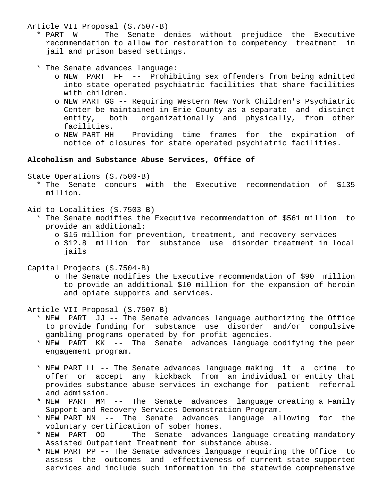Article VII Proposal (S.7507-B)

- \* PART W -- The Senate denies without prejudice the Executive recommendation to allow for restoration to competency treatment in jail and prison based settings.
- \* The Senate advances language:
	- o NEW PART FF -- Prohibiting sex offenders from being admitted into state operated psychiatric facilities that share facilities with children.
	- o NEW PART GG -- Requiring Western New York Children's Psychiatric Center be maintained in Erie County as a separate and distinct entity, both organizationally and physically, from other facilities.
	- o NEW PART HH -- Providing time frames for the expiration of notice of closures for state operated psychiatric facilities.

# **Alcoholism and Substance Abuse Services, Office of**

State Operations (S.7500-B)

- \* The Senate concurs with the Executive recommendation of \$135 million.
- Aid to Localities (S.7503-B)
	- \* The Senate modifies the Executive recommendation of \$561 million to provide an additional:
		- o \$15 million for prevention, treatment, and recovery services
		- o \$12.8 million for substance use disorder treatment in local jails
- Capital Projects (S.7504-B)
	- o The Senate modifies the Executive recommendation of \$90 million to provide an additional \$10 million for the expansion of heroin and opiate supports and services.

Article VII Proposal (S.7507-B)

- \* NEW PART JJ -- The Senate advances language authorizing the Office to provide funding for substance use disorder and/or compulsive gambling programs operated by for-profit agencies.
- \* NEW PART KK -- The Senate advances language codifying the peer engagement program.
- \* NEW PART LL -- The Senate advances language making it a crime to offer or accept any kickback from an individual or entity that provides substance abuse services in exchange for patient referral and admission.
- \* NEW PART MM -- The Senate advances language creating a Family Support and Recovery Services Demonstration Program.
- \* NEW PART NN -- The Senate advances language allowing for the voluntary certification of sober homes.
- \* NEW PART OO -- The Senate advances language creating mandatory Assisted Outpatient Treatment for substance abuse.
- \* NEW PART PP -- The Senate advances language requiring the Office to assess the outcomes and effectiveness of current state supported services and include such information in the statewide comprehensive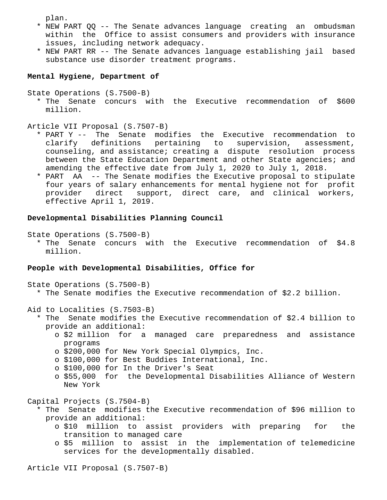plan.

- \* NEW PART QQ -- The Senate advances language creating an ombudsman within the Office to assist consumers and providers with insurance issues, including network adequacy.
- \* NEW PART RR -- The Senate advances language establishing jail based substance use disorder treatment programs.

# **Mental Hygiene, Department of**

```
State Operations (S.7500-B)
```
 \* The Senate concurs with the Executive recommendation of \$600 million.

Article VII Proposal (S.7507-B)

- \* PART Y -- The Senate modifies the Executive recommendation to clarify definitions pertaining to supervision, assessment, counseling, and assistance; creating a dispute resolution process between the State Education Department and other State agencies; and amending the effective date from July 1, 2020 to July 1, 2018.
- \* PART AA -- The Senate modifies the Executive proposal to stipulate four years of salary enhancements for mental hygiene not for profit provider direct support, direct care, and clinical workers, effective April 1, 2019.

# **Developmental Disabilities Planning Council**

State Operations (S.7500-B)

 \* The Senate concurs with the Executive recommendation of \$4.8 million.

# **People with Developmental Disabilities, Office for**

State Operations (S.7500-B)

\* The Senate modifies the Executive recommendation of \$2.2 billion.

Aid to Localities (S.7503-B)

- \* The Senate modifies the Executive recommendation of \$2.4 billion to provide an additional:
	- o \$2 million for a managed care preparedness and assistance programs
	- o \$200,000 for New York Special Olympics, Inc.
	- o \$100,000 for Best Buddies International, Inc.
	- o \$100,000 for In the Driver's Seat
	- o \$55,000 for the Developmental Disabilities Alliance of Western New York

Capital Projects (S.7504-B)

- \* The Senate modifies the Executive recommendation of \$96 million to provide an additional:
	- o \$10 million to assist providers with preparing for the transition to managed care
	- o \$5 million to assist in the implementation of telemedicine services for the developmentally disabled.

Article VII Proposal (S.7507-B)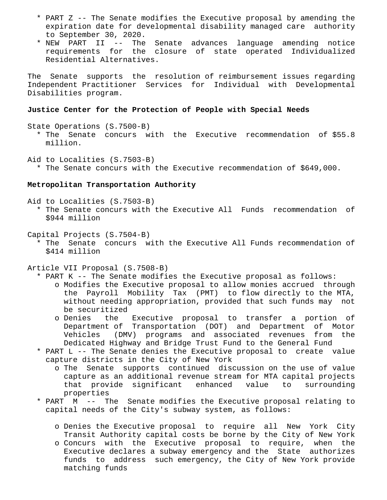- \* PART Z -- The Senate modifies the Executive proposal by amending the expiration date for developmental disability managed care authority to September 30, 2020.
- \* NEW PART II -- The Senate advances language amending notice requirements for the closure of state operated Individualized Residential Alternatives.

The Senate supports the resolution of reimbursement issues regarding Independent Practitioner Services for Individual with Developmental Disabilities program.

### **Justice Center for the Protection of People with Special Needs**

State Operations (S.7500-B)

 \* The Senate concurs with the Executive recommendation of \$55.8 million.

Aid to Localities (S.7503-B)

\* The Senate concurs with the Executive recommendation of \$649,000.

## **Metropolitan Transportation Authority**

Aid to Localities (S.7503-B)

 \* The Senate concurs with the Executive All Funds recommendation of \$944 million

Capital Projects (S.7504-B)

 \* The Senate concurs with the Executive All Funds recommendation of \$414 million

Article VII Proposal (S.7508-B)

- \* PART K -- The Senate modifies the Executive proposal as follows:
	- o Modifies the Executive proposal to allow monies accrued through the Payroll Mobility Tax (PMT) to flow directly to the MTA, without needing appropriation, provided that such funds may not be securitized
	- o Denies the Executive proposal to transfer a portion of Department of Transportation (DOT) and Department of Motor Vehicles (DMV) programs and associated revenues from the Dedicated Highway and Bridge Trust Fund to the General Fund
- \* PART L -- The Senate denies the Executive proposal to create value capture districts in the City of New York
	- o The Senate supports continued discussion on the use of value capture as an additional revenue stream for MTA capital projects that provide significant enhanced value to surrounding properties
- \* PART M -- The Senate modifies the Executive proposal relating to capital needs of the City's subway system, as follows:
	- o Denies the Executive proposal to require all New York City Transit Authority capital costs be borne by the City of New York
	- o Concurs with the Executive proposal to require, when the Executive declares a subway emergency and the State authorizes funds to address such emergency, the City of New York provide matching funds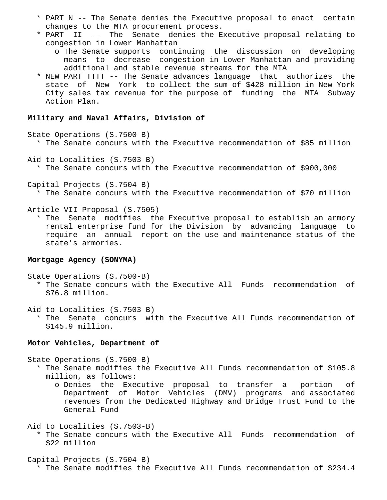- \* PART N -- The Senate denies the Executive proposal to enact certain changes to the MTA procurement process.
- \* PART II -- The Senate denies the Executive proposal relating to congestion in Lower Manhattan
	- o The Senate supports continuing the discussion on developing means to decrease congestion in Lower Manhattan and providing additional and stable revenue streams for the MTA
- \* NEW PART TTTT -- The Senate advances language that authorizes the state of New York to collect the sum of \$428 million in New York City sales tax revenue for the purpose of funding the MTA Subway Action Plan.

## **Military and Naval Affairs, Division of**

State Operations (S.7500-B)

- \* The Senate concurs with the Executive recommendation of \$85 million
- Aid to Localities (S.7503-B)
	- \* The Senate concurs with the Executive recommendation of \$900,000
- Capital Projects (S.7504-B) \* The Senate concurs with the Executive recommendation of \$70 million

Article VII Proposal (S.7505)

 \* The Senate modifies the Executive proposal to establish an armory rental enterprise fund for the Division by advancing language to require an annual report on the use and maintenance status of the state's armories.

# **Mortgage Agency (SONYMA)**

State Operations (S.7500-B)

 \* The Senate concurs with the Executive All Funds recommendation of \$76.8 million.

Aid to Localities (S.7503-B)

 \* The Senate concurs with the Executive All Funds recommendation of \$145.9 million.

## **Motor Vehicles, Department of**

State Operations (S.7500-B)

- \* The Senate modifies the Executive All Funds recommendation of \$105.8 million, as follows:
	- o Denies the Executive proposal to transfer a portion of Department of Motor Vehicles (DMV) programs and associated revenues from the Dedicated Highway and Bridge Trust Fund to the General Fund

Aid to Localities (S.7503-B)

- \* The Senate concurs with the Executive All Funds recommendation of \$22 million
- Capital Projects (S.7504-B) \* The Senate modifies the Executive All Funds recommendation of \$234.4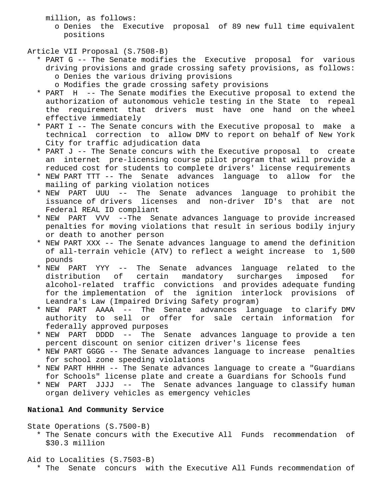million, as follows:

 o Denies the Executive proposal of 89 new full time equivalent positions

# Article VII Proposal (S.7508-B)

- \* PART G -- The Senate modifies the Executive proposal for various driving provisions and grade crossing safety provisions, as follows: o Denies the various driving provisions
	- o Modifies the grade crossing safety provisions
- \* PART H -- The Senate modifies the Executive proposal to extend the authorization of autonomous vehicle testing in the State to repeal the requirement that drivers must have one hand on the wheel effective immediately
- \* PART I -- The Senate concurs with the Executive proposal to make a technical correction to allow DMV to report on behalf of New York City for traffic adjudication data
- \* PART J -- The Senate concurs with the Executive proposal to create an internet pre-licensing course pilot program that will provide a reduced cost for students to complete drivers' license requirements
- \* NEW PART TTT -- The Senate advances language to allow for the mailing of parking violation notices
- \* NEW PART UUU -- The Senate advances language to prohibit the issuance of drivers licenses and non-driver ID's that are not Federal REAL ID compliant
- \* NEW PART VVV --The Senate advances language to provide increased penalties for moving violations that result in serious bodily injury or death to another person
- \* NEW PART XXX -- The Senate advances language to amend the definition of all-terrain vehicle (ATV) to reflect a weight increase to 1,500 pounds
- \* NEW PART YYY -- The Senate advances language related to the<br>distribution of certain mandatory surcharges imposed for mandatory surcharges imposed for alcohol-related traffic convictions and provides adequate funding for the implementation of the ignition interlock provisions of Leandra's Law (Impaired Driving Safety program)
- \* NEW PART AAAA -- The Senate advances language to clarify DMV authority to sell or offer for sale certain information for federally approved purposes
- \* NEW PART DDDD -- The Senate advances language to provide a ten percent discount on senior citizen driver's license fees
- \* NEW PART GGGG -- The Senate advances language to increase penalties for school zone speeding violations
- \* NEW PART HHHH -- The Senate advances language to create a "Guardians for Schools" license plate and create a Guardians for Schools fund
- \* NEW PART JJJJ -- The Senate advances language to classify human organ delivery vehicles as emergency vehicles

# **National And Community Service**

State Operations (S.7500-B)

- \* The Senate concurs with the Executive All Funds recommendation of \$30.3 million
- Aid to Localities (S.7503-B) \* The Senate concurs with the Executive All Funds recommendation of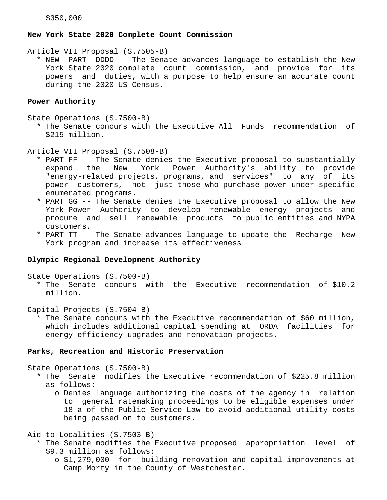## **New York State 2020 Complete Count Commission**

Article VII Proposal (S.7505-B)

 \* NEW PART DDDD -- The Senate advances language to establish the New York State 2020 complete count commission, and provide for its powers and duties, with a purpose to help ensure an accurate count during the 2020 US Census.

## **Power Authority**

State Operations (S.7500-B)

 \* The Senate concurs with the Executive All Funds recommendation of \$215 million.

Article VII Proposal (S.7508-B)

- \* PART FF -- The Senate denies the Executive proposal to substantially expand the New York Power Authority's ability to provide "energy-related projects, programs, and services" to any of its power customers, not just those who purchase power under specific enumerated programs.
- \* PART GG -- The Senate denies the Executive proposal to allow the New York Power Authority to develop renewable energy projects and procure and sell renewable products to public entities and NYPA customers.
- \* PART TT -- The Senate advances language to update the Recharge New York program and increase its effectiveness

## **Olympic Regional Development Authority**

State Operations (S.7500-B)

 \* The Senate concurs with the Executive recommendation of \$10.2 million.

Capital Projects (S.7504-B)

 \* The Senate concurs with the Executive recommendation of \$60 million, which includes additional capital spending at ORDA facilities for energy efficiency upgrades and renovation projects.

### **Parks, Recreation and Historic Preservation**

State Operations (S.7500-B)

- \* The Senate modifies the Executive recommendation of \$225.8 million as follows:
	- o Denies language authorizing the costs of the agency in relation to general ratemaking proceedings to be eligible expenses under 18-a of the Public Service Law to avoid additional utility costs being passed on to customers.

Aid to Localities (S.7503-B)

- \* The Senate modifies the Executive proposed appropriation level of \$9.3 million as follows:
	- o \$1,279,000 for building renovation and capital improvements at Camp Morty in the County of Westchester.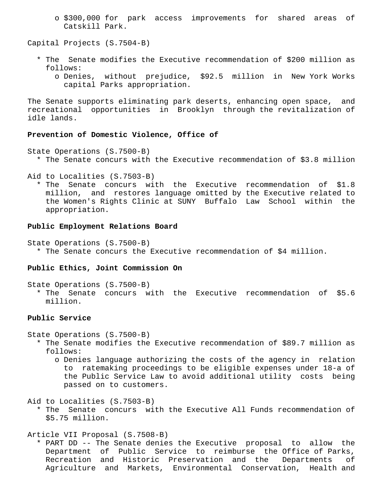o \$300,000 for park access improvements for shared areas of Catskill Park.

Capital Projects (S.7504-B)

- \* The Senate modifies the Executive recommendation of \$200 million as follows:
	- o Denies, without prejudice, \$92.5 million in New York Works capital Parks appropriation.

The Senate supports eliminating park deserts, enhancing open space, and recreational opportunities in Brooklyn through the revitalization of idle lands.

### **Prevention of Domestic Violence, Office of**

- State Operations (S.7500-B)
	- \* The Senate concurs with the Executive recommendation of \$3.8 million
- Aid to Localities (S.7503-B)

 \* The Senate concurs with the Executive recommendation of \$1.8 million, and restores language omitted by the Executive related to the Women's Rights Clinic at SUNY Buffalo Law School within the appropriation.

### **Public Employment Relations Board**

State Operations (S.7500-B) \* The Senate concurs the Executive recommendation of \$4 million.

## **Public Ethics, Joint Commission On**

State Operations (S.7500-B)

 \* The Senate concurs with the Executive recommendation of \$5.6 million.

## **Public Service**

State Operations (S.7500-B)

- \* The Senate modifies the Executive recommendation of \$89.7 million as follows:
	- o Denies language authorizing the costs of the agency in relation to ratemaking proceedings to be eligible expenses under 18-a of the Public Service Law to avoid additional utility costs being passed on to customers.

Aid to Localities (S.7503-B)

 \* The Senate concurs with the Executive All Funds recommendation of \$5.75 million.

Article VII Proposal (S.7508-B)

 \* PART DD -- The Senate denies the Executive proposal to allow the Department of Public Service to reimburse the Office of Parks, Recreation and Historic Preservation and the Departments of Agriculture and Markets, Environmental Conservation, Health and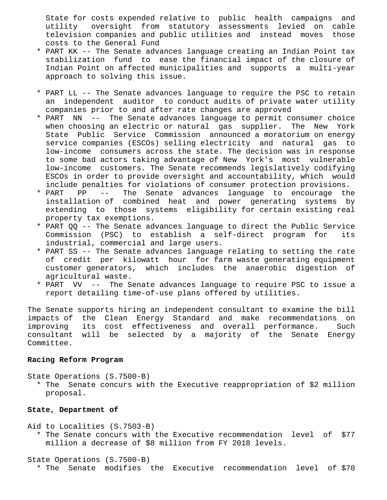State for costs expended relative to public health campaigns and utility oversight from statutory assessments levied on cable television companies and public utilities and instead moves those costs to the General Fund

- \* PART KK -- The Senate advances language creating an Indian Point tax stabilization fund to ease the financial impact of the closure of Indian Point on affected municipalities and supports a multi-year approach to solving this issue.
- \* PART LL -- The Senate advances language to require the PSC to retain an independent auditor to conduct audits of private water utility companies prior to and after rate changes are approved
- \* PART NN -- The Senate advances language to permit consumer choice when choosing an electric or natural gas supplier. The New York State Public Service Commission announced a moratorium on energy service companies (ESCOs) selling electricity and natural gas to low-income consumers across the state. The decision was in response to some bad actors taking advantage of New York's most vulnerable low-income customers. The Senate recommends legislatively codifying ESCOs in order to provide oversight and accountability, which would include penalties for violations of consumer protection provisions.
- \* PART PP -- The Senate advances language to encourage the installation of combined heat and power generating systems by extending to those systems eligibility for certain existing real property tax exemptions.
- \* PART QQ -- The Senate advances language to direct the Public Service Commission (PSC) to establish a self-direct program for its industrial, commercial and large users.
- \* PART SS -- The Senate advances language relating to setting the rate of credit per kilowatt hour for farm waste generating equipment customer generators, which includes the anaerobic digestion of agricultural waste.
- \* PART VV -- The Senate advances language to require PSC to issue a report detailing time-of-use plans offered by utilities.

The Senate supports hiring an independent consultant to examine the bill impacts of the Clean Energy Standard and make recommendations on improving its cost effectiveness and overall performance. Such consultant will be selected by a majority of the Senate Energy Committee.

## **Racing Reform Program**

State Operations (S.7500-B)

 \* The Senate concurs with the Executive reappropriation of \$2 million proposal.

# **State, Department of**

Aid to Localities (S.7503-B)

 \* The Senate concurs with the Executive recommendation level of \$77 million a decrease of \$8 million from FY 2018 levels.

## State Operations (S.7500-B)

\* The Senate modifies the Executive recommendation level of \$70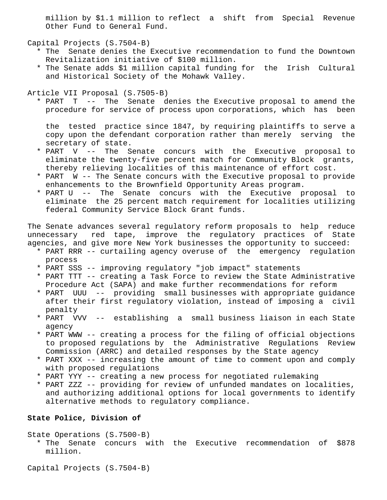million by \$1.1 million to reflect a shift from Special Revenue Other Fund to General Fund.

Capital Projects (S.7504-B)

- \* The Senate denies the Executive recommendation to fund the Downtown Revitalization initiative of \$100 million.
- \* The Senate adds \$1 million capital funding for the Irish Cultural and Historical Society of the Mohawk Valley.

Article VII Proposal (S.7505-B)

 \* PART T -- The Senate denies the Executive proposal to amend the procedure for service of process upon corporations, which has been

 the tested practice since 1847, by requiring plaintiffs to serve a copy upon the defendant corporation rather than merely serving the secretary of state.

- \* PART V -- The Senate concurs with the Executive proposal to eliminate the twenty-five percent match for Community Block grants, thereby relieving localities of this maintenance of effort cost.
- \* PART W -- The Senate concurs with the Executive proposal to provide enhancements to the Brownfield Opportunity Areas program.
- \* PART U -- The Senate concurs with the Executive proposal to eliminate the 25 percent match requirement for localities utilizing federal Community Service Block Grant funds.

The Senate advances several regulatory reform proposals to help reduce unnecessary red tape, improve the regulatory practices of State agencies, and give more New York businesses the opportunity to succeed:

- \* PART RRR -- curtailing agency overuse of the emergency regulation process
- \* PART SSS -- improving regulatory "job impact" statements
- \* PART TTT -- creating a Task Force to review the State Administrative Procedure Act (SAPA) and make further recommendations for reform
- \* PART UUU -- providing small businesses with appropriate guidance after their first regulatory violation, instead of imposing a civil penalty
- \* PART VVV -- establishing a small business liaison in each State agency
- \* PART WWW -- creating a process for the filing of official objections to proposed regulations by the Administrative Regulations Review Commission (ARRC) and detailed responses by the State agency
- \* PART XXX -- increasing the amount of time to comment upon and comply with proposed regulations
- \* PART YYY -- creating a new process for negotiated rulemaking
- \* PART ZZZ -- providing for review of unfunded mandates on localities, and authorizing additional options for local governments to identify alternative methods to regulatory compliance.

# **State Police, Division of**

```
State Operations (S.7500-B)
```
 \* The Senate concurs with the Executive recommendation of \$878 million.

Capital Projects (S.7504-B)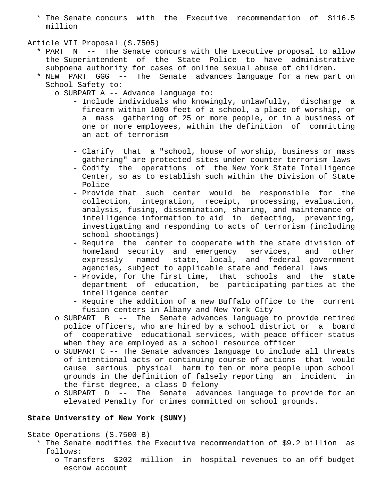\* The Senate concurs with the Executive recommendation of \$116.5 million

### Article VII Proposal (S.7505)

- \* PART N -- The Senate concurs with the Executive proposal to allow the Superintendent of the State Police to have administrative subpoena authority for cases of online sexual abuse of children.
- \* NEW PART GGG -- The Senate advances language for a new part on School Safety to:
	- o SUBPART A -- Advance language to:
		- Include individuals who knowingly, unlawfully, discharge a firearm within 1000 feet of a school, a place of worship, or a mass gathering of 25 or more people, or in a business of one or more employees, within the definition of committing an act of terrorism
		- Clarify that a "school, house of worship, business or mass gathering" are protected sites under counter terrorism laws
		- Codify the operations of the New York State Intelligence Center, so as to establish such within the Division of State Police
		- Provide that such center would be responsible for the collection, integration, receipt, processing, evaluation, analysis, fusing, dissemination, sharing, and maintenance of intelligence information to aid in detecting, preventing, investigating and responding to acts of terrorism (including school shootings)
		- Require the center to cooperate with the state division of homeland security and emergency services, and other expressly named state, local, and federal government agencies, subject to applicable state and federal laws
		- Provide, for the first time, that schools and the state department of education, be participating parties at the intelligence center
		- Require the addition of a new Buffalo office to the current fusion centers in Albany and New York City
	- o SUBPART B -- The Senate advances language to provide retired police officers, who are hired by a school district or a board of cooperative educational services, with peace officer status when they are employed as a school resource officer
	- o SUBPART C -- The Senate advances language to include all threats of intentional acts or continuing course of actions that would cause serious physical harm to ten or more people upon school grounds in the definition of falsely reporting an incident in the first degree, a class D felony
	- o SUBPART D -- The Senate advances language to provide for an elevated Penalty for crimes committed on school grounds.

# **State University of New York (SUNY)**

State Operations (S.7500-B)

- \* The Senate modifies the Executive recommendation of \$9.2 billion as follows:
	- o Transfers \$202 million in hospital revenues to an off-budget escrow account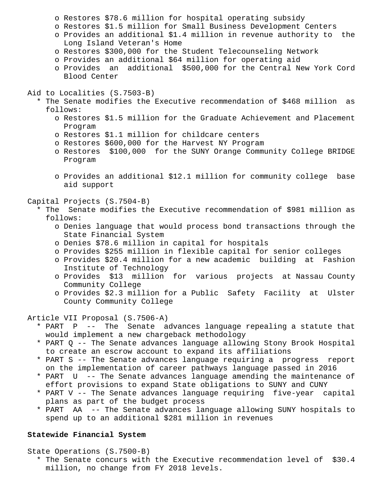- o Restores \$78.6 million for hospital operating subsidy
- o Restores \$1.5 million for Small Business Development Centers
- o Provides an additional \$1.4 million in revenue authority to the Long Island Veteran's Home
- o Restores \$300,000 for the Student Telecounseling Network
- o Provides an additional \$64 million for operating aid
- o Provides an additional \$500,000 for the Central New York Cord Blood Center
- Aid to Localities (S.7503-B)
	- \* The Senate modifies the Executive recommendation of \$468 million as follows:
		- o Restores \$1.5 million for the Graduate Achievement and Placement Program
		- o Restores \$1.1 million for childcare centers
		- o Restores \$600,000 for the Harvest NY Program
		- o Restores \$100,000 for the SUNY Orange Community College BRIDGE Program
		- o Provides an additional \$12.1 million for community college base aid support

Capital Projects (S.7504-B)

- \* The Senate modifies the Executive recommendation of \$981 million as follows:
	- o Denies language that would process bond transactions through the State Financial System
	- o Denies \$78.6 million in capital for hospitals
	- o Provides \$255 million in flexible capital for senior colleges
	- o Provides \$20.4 million for a new academic building at Fashion Institute of Technology
	- o Provides \$13 million for various projects at Nassau County Community College
	- o Provides \$2.3 million for a Public Safety Facility at Ulster County Community College

Article VII Proposal (S.7506-A)

- \* PART P -- The Senate advances language repealing a statute that would implement a new chargeback methodology
- \* PART Q -- The Senate advances language allowing Stony Brook Hospital to create an escrow account to expand its affiliations
- \* PART S -- The Senate advances language requiring a progress report on the implementation of career pathways language passed in 2016
- \* PART U -- The Senate advances language amending the maintenance of effort provisions to expand State obligations to SUNY and CUNY
- \* PART V -- The Senate advances language requiring five-year capital plans as part of the budget process
- \* PART AA -- The Senate advances language allowing SUNY hospitals to spend up to an additional \$281 million in revenues

## **Statewide Financial System**

State Operations (S.7500-B)

 \* The Senate concurs with the Executive recommendation level of \$30.4 million, no change from FY 2018 levels.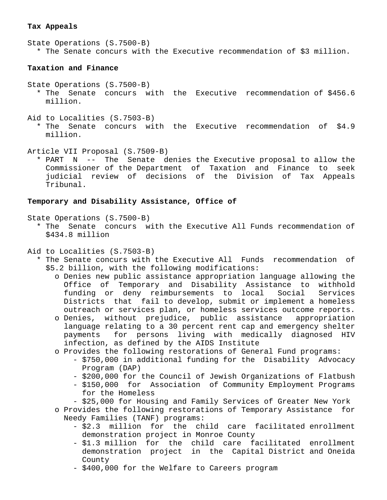# **Tax Appeals**

State Operations (S.7500-B) \* The Senate concurs with the Executive recommendation of \$3 million.

# **Taxation and Finance**

- State Operations (S.7500-B)
	- \* The Senate concurs with the Executive recommendation of \$456.6 million.
- Aid to Localities (S.7503-B)
	- \* The Senate concurs with the Executive recommendation of \$4.9 million.
- Article VII Proposal (S.7509-B)
	- \* PART N -- The Senate denies the Executive proposal to allow the Commissioner of the Department of Taxation and Finance to seek judicial review of decisions of the Division of Tax Appeals Tribunal.

## **Temporary and Disability Assistance, Office of**

State Operations (S.7500-B)

- \* The Senate concurs with the Executive All Funds recommendation of \$434.8 million
- Aid to Localities (S.7503-B)
	- \* The Senate concurs with the Executive All Funds recommendation of \$5.2 billion, with the following modifications:
		- o Denies new public assistance appropriation language allowing the Office of Temporary and Disability Assistance to withhold funding or deny reimbursements to local Social Services Districts that fail to develop, submit or implement a homeless outreach or services plan, or homeless services outcome reports.
		- o Denies, without prejudice, public assistance appropriation language relating to a 30 percent rent cap and emergency shelter payments for persons living with medically diagnosed HIV infection, as defined by the AIDS Institute
		- o Provides the following restorations of General Fund programs:
			- \$750,000 in additional funding for the Disability Advocacy Program (DAP)
			- \$200,000 for the Council of Jewish Organizations of Flatbush
			- \$150,000 for Association of Community Employment Programs for the Homeless
			- \$25,000 for Housing and Family Services of Greater New York
		- o Provides the following restorations of Temporary Assistance for Needy Families (TANF) programs:
			- \$2.3 million for the child care facilitated enrollment demonstration project in Monroe County
			- \$1.3 million for the child care facilitated enrollment demonstration project in the Capital District and Oneida County
			- \$400,000 for the Welfare to Careers program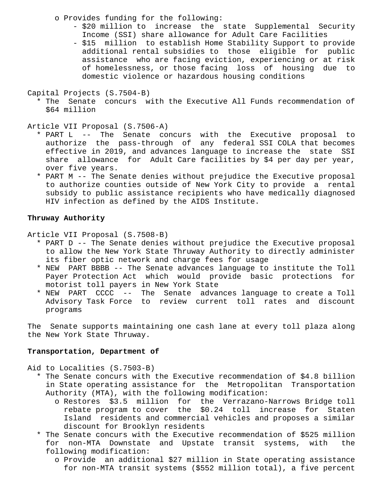o Provides funding for the following:

- \$20 million to increase the state Supplemental Security Income (SSI) share allowance for Adult Care Facilities
- \$15 million to establish Home Stability Support to provide additional rental subsidies to those eligible for public assistance who are facing eviction, experiencing or at risk of homelessness, or those facing loss of housing due to domestic violence or hazardous housing conditions

```
Capital Projects (S.7504-B)
```
 \* The Senate concurs with the Executive All Funds recommendation of \$64 million

Article VII Proposal (S.7506-A)

- \* PART L -- The Senate concurs with the Executive proposal to authorize the pass-through of any federal SSI COLA that becomes effective in 2019, and advances language to increase the state SSI share allowance for Adult Care facilities by \$4 per day per year, over five years.
- \* PART M -- The Senate denies without prejudice the Executive proposal to authorize counties outside of New York City to provide a rental subsidy to public assistance recipients who have medically diagnosed HIV infection as defined by the AIDS Institute.

# **Thruway Authority**

Article VII Proposal (S.7508-B)

- \* PART D -- The Senate denies without prejudice the Executive proposal to allow the New York State Thruway Authority to directly administer its fiber optic network and charge fees for usage
- \* NEW PART BBBB -- The Senate advances language to institute the Toll Payer Protection Act which would provide basic protections for motorist toll payers in New York State
- \* NEW PART CCCC -- The Senate advances language to create a Toll Advisory Task Force to review current toll rates and discount programs

The Senate supports maintaining one cash lane at every toll plaza along the New York State Thruway.

## **Transportation, Department of**

Aid to Localities (S.7503-B)

- \* The Senate concurs with the Executive recommendation of \$4.8 billion in State operating assistance for the Metropolitan Transportation Authority (MTA), with the following modification:
	- o Restores \$3.5 million for the Verrazano-Narrows Bridge toll rebate program to cover the \$0.24 toll increase for Staten Island residents and commercial vehicles and proposes a similar discount for Brooklyn residents
- \* The Senate concurs with the Executive recommendation of \$525 million for non-MTA Downstate and Upstate transit systems, with the following modification:
	- o Provide an additional \$27 million in State operating assistance for non-MTA transit systems (\$552 million total), a five percent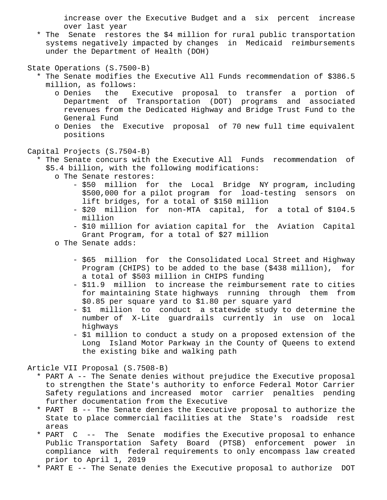increase over the Executive Budget and a six percent increase over last year

 \* The Senate restores the \$4 million for rural public transportation systems negatively impacted by changes in Medicaid reimbursements under the Department of Health (DOH)

State Operations (S.7500-B)

- \* The Senate modifies the Executive All Funds recommendation of \$386.5 million, as follows:
	- o Denies the Executive proposal to transfer a portion of Department of Transportation (DOT) programs and associated revenues from the Dedicated Highway and Bridge Trust Fund to the General Fund
	- o Denies the Executive proposal of 70 new full time equivalent positions
- Capital Projects (S.7504-B)
	- \* The Senate concurs with the Executive All Funds recommendation of \$5.4 billion, with the following modifications:
		- o The Senate restores:
			- \$50 million for the Local Bridge NY program, including \$500,000 for a pilot program for load-testing sensors on lift bridges, for a total of \$150 million
			- \$20 million for non-MTA capital, for a total of \$104.5 million
			- \$10 million for aviation capital for the Aviation Capital Grant Program, for a total of \$27 million
		- o The Senate adds:
			- \$65 million for the Consolidated Local Street and Highway Program (CHIPS) to be added to the base (\$438 million), for a total of \$503 million in CHIPS funding
			- \$11.9 million to increase the reimbursement rate to cities for maintaining State highways running through them from \$0.85 per square yard to \$1.80 per square yard
			- \$1 million to conduct a statewide study to determine the number of X-Lite guardrails currently in use on local highways
			- \$1 million to conduct a study on a proposed extension of the Long Island Motor Parkway in the County of Queens to extend the existing bike and walking path

Article VII Proposal (S.7508-B)

- \* PART A -- The Senate denies without prejudice the Executive proposal to strengthen the State's authority to enforce Federal Motor Carrier Safety regulations and increased motor carrier penalties pending further documentation from the Executive
- \* PART B -- The Senate denies the Executive proposal to authorize the State to place commercial facilities at the State's roadside rest areas
- \* PART C -- The Senate modifies the Executive proposal to enhance Public Transportation Safety Board (PTSB) enforcement power in compliance with federal requirements to only encompass law created prior to April 1, 2019
- \* PART E -- The Senate denies the Executive proposal to authorize DOT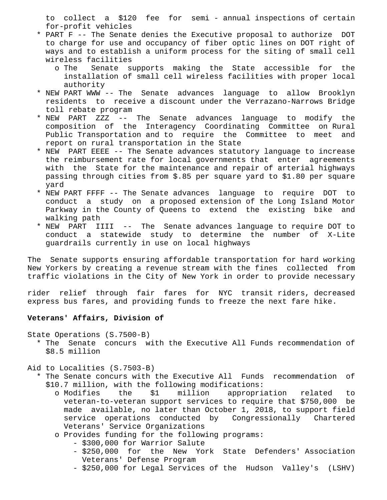to collect a \$120 fee for semi - annual inspections of certain for-profit vehicles

- \* PART F -- The Senate denies the Executive proposal to authorize DOT to charge for use and occupancy of fiber optic lines on DOT right of ways and to establish a uniform process for the siting of small cell wireless facilities
	- o The Senate supports making the State accessible for the installation of small cell wireless facilities with proper local authority
- \* NEW PART WWW -- The Senate advances language to allow Brooklyn residents to receive a discount under the Verrazano-Narrows Bridge toll rebate program
- \* NEW PART ZZZ -- The Senate advances language to modify the composition of the Interagency Coordinating Committee on Rural Public Transportation and to require the Committee to meet and report on rural transportation in the State
- \* NEW PART EEEE -- The Senate advances statutory language to increase the reimbursement rate for local governments that enter agreements with the State for the maintenance and repair of arterial highways passing through cities from \$.85 per square yard to \$1.80 per square yard
- \* NEW PART FFFF -- The Senate advances language to require DOT to conduct a study on a proposed extension of the Long Island Motor Parkway in the County of Queens to extend the existing bike and walking path
- \* NEW PART IIII -- The Senate advances language to require DOT to conduct a statewide study to determine the number of X-Lite guardrails currently in use on local highways

The Senate supports ensuring affordable transportation for hard working New Yorkers by creating a revenue stream with the fines collected from traffic violations in the City of New York in order to provide necessary

rider relief through fair fares for NYC transit riders, decreased express bus fares, and providing funds to freeze the next fare hike.

# **Veterans' Affairs, Division of**

State Operations (S.7500-B)

 \* The Senate concurs with the Executive All Funds recommendation of \$8.5 million

Aid to Localities (S.7503-B)

- \* The Senate concurs with the Executive All Funds recommendation of \$10.7 million, with the following modifications:
	- o Modifies the \$1 million appropriation related to veteran-to-veteran support services to require that \$750,000 be made available, no later than October 1, 2018, to support field service operations conducted by Congressionally Chartered Veterans' Service Organizations
	- o Provides funding for the following programs:
		- \$300,000 for Warrior Salute
		- \$250,000 for the New York State Defenders' Association Veterans' Defense Program
		- \$250,000 for Legal Services of the Hudson Valley's (LSHV)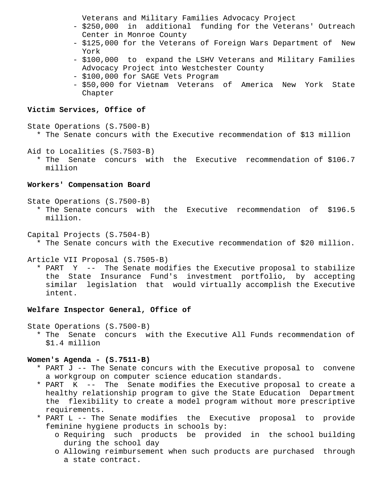Veterans and Military Families Advocacy Project

- \$250,000 in additional funding for the Veterans' Outreach Center in Monroe County
- \$125,000 for the Veterans of Foreign Wars Department of New York
- \$100,000 to expand the LSHV Veterans and Military Families Advocacy Project into Westchester County
- \$100,000 for SAGE Vets Program
- \$50,000 for Vietnam Veterans of America New York State Chapter

### **Victim Services, Office of**

State Operations (S.7500-B)

\* The Senate concurs with the Executive recommendation of \$13 million

Aid to Localities (S.7503-B)

 \* The Senate concurs with the Executive recommendation of \$106.7 million

### **Workers' Compensation Board**

State Operations (S.7500-B)

 \* The Senate concurs with the Executive recommendation of \$196.5 million.

Capital Projects (S.7504-B)

\* The Senate concurs with the Executive recommendation of \$20 million.

Article VII Proposal (S.7505-B)

 \* PART Y -- The Senate modifies the Executive proposal to stabilize the State Insurance Fund's investment portfolio, by accepting similar legislation that would virtually accomplish the Executive intent.

### **Welfare Inspector General, Office of**

State Operations (S.7500-B)

 \* The Senate concurs with the Executive All Funds recommendation of \$1.4 million

### **Women's Agenda - (S.7511-B)**

- \* PART J -- The Senate concurs with the Executive proposal to convene a workgroup on computer science education standards.
- \* PART K -- The Senate modifies the Executive proposal to create a healthy relationship program to give the State Education Department the flexibility to create a model program without more prescriptive requirements.
- \* PART L -- The Senate modifies the Executive proposal to provide feminine hygiene products in schools by:
	- o Requiring such products be provided in the school building during the school day
	- o Allowing reimbursement when such products are purchased through a state contract.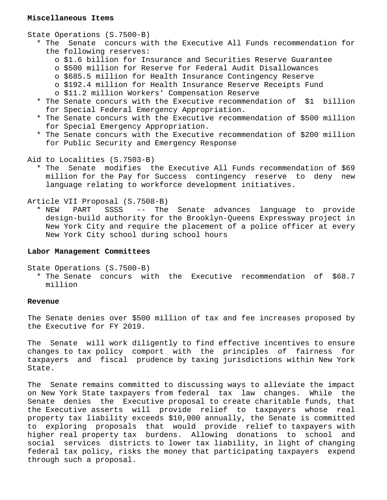### **Miscellaneous Items**

State Operations (S.7500-B)

- \* The Senate concurs with the Executive All Funds recommendation for the following reserves:
	- o \$1.6 billion for Insurance and Securities Reserve Guarantee
	- o \$500 million for Reserve for Federal Audit Disallowances
	- o \$685.5 million for Health Insurance Contingency Reserve
	- o \$192.4 million for Health Insurance Reserve Receipts Fund o \$11.2 million Workers' Compensation Reserve
- \* The Senate concurs with the Executive recommendation of \$1 billion for Special Federal Emergency Appropriation.
- \* The Senate concurs with the Executive recommendation of \$500 million for Special Emergency Appropriation.
- \* The Senate concurs with the Executive recommendation of \$200 million for Public Security and Emergency Response
- Aid to Localities (S.7503-B)
	- \* The Senate modifies the Executive All Funds recommendation of \$69 million for the Pay for Success contingency reserve to deny new language relating to workforce development initiatives.

Article VII Proposal (S.7508-B)

 \* NEW PART SSSS -- The Senate advances language to provide design-build authority for the Brooklyn-Queens Expressway project in New York City and require the placement of a police officer at every New York City school during school hours

### **Labor Management Committees**

State Operations (S.7500-B)

 \* The Senate concurs with the Executive recommendation of \$68.7 million

## **Revenue**

The Senate denies over \$500 million of tax and fee increases proposed by the Executive for FY 2019.

The Senate will work diligently to find effective incentives to ensure changes to tax policy comport with the principles of fairness for taxpayers and fiscal prudence by taxing jurisdictions within New York State.

The Senate remains committed to discussing ways to alleviate the impact on New York State taxpayers from federal tax law changes. While the Senate denies the Executive proposal to create charitable funds, that the Executive asserts will provide relief to taxpayers whose real property tax liability exceeds \$10,000 annually, the Senate is committed to exploring proposals that would provide relief to taxpayers with higher real property tax burdens. Allowing donations to school and social services districts to lower tax liability, in light of changing federal tax policy, risks the money that participating taxpayers expend through such a proposal.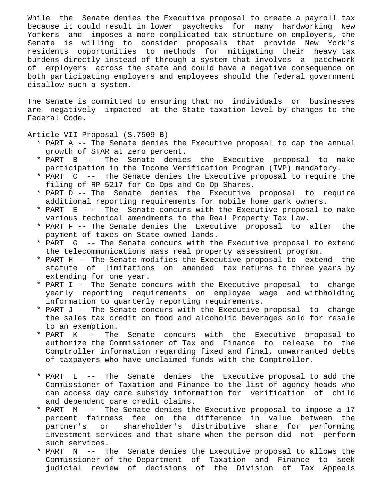While the Senate denies the Executive proposal to create a payroll tax because it could result in lower paychecks for many hardworking New Yorkers and imposes a more complicated tax structure on employers, the Senate is willing to consider proposals that provide New York's residents opportunities to methods for mitigating their heavy tax burdens directly instead of through a system that involves a patchwork of employers across the state and could have a negative consequence on both participating employers and employees should the federal government disallow such a system.

The Senate is committed to ensuring that no individuals or businesses are negatively impacted at the State taxation level by changes to the Federal Code.

Article VII Proposal (S.7509-B)

- \* PART A -- The Senate denies the Executive proposal to cap the annual growth of STAR at zero percent.
- \* PART B -- The Senate denies the Executive proposal to make participation in the Income Verification Program (IVP) mandatory.
- \* PART C -- The Senate denies the Executive proposal to require the filing of RP-5217 for Co-Ops and Co-Op Shares.
- \* PART D -- The Senate denies the Executive proposal to require additional reporting requirements for mobile home park owners.
- \* PART E -- The Senate concurs with the Executive proposal to make various technical amendments to the Real Property Tax Law.
- \* PART F -- The Senate denies the Executive proposal to alter the payment of taxes on State-owned lands.
- \* PART G -- The Senate concurs with the Executive proposal to extend the telecommunications mass real property assessment program.
- \* PART H -- The Senate modifies the Executive proposal to extend the statute of limitations on amended tax returns to three years by extending for one year.
- \* PART I -- The Senate concurs with the Executive proposal to change yearly reporting requirements on employee wage and withholding information to quarterly reporting requirements.
- \* PART J -- The Senate concurs with the Executive proposal to change the sales tax credit on food and alcoholic beverages sold for resale to an exemption.
- \* PART K -- The Senate concurs with the Executive proposal to authorize the Commissioner of Tax and Finance to release to the Comptroller information regarding fixed and final, unwarranted debts of taxpayers who have unclaimed funds with the Comptroller.
- \* PART L -- The Senate denies the Executive proposal to add the Commissioner of Taxation and Finance to the list of agency heads who can access day care subsidy information for verification of child and dependent care credit claims.
- \* PART M -- The Senate denies the Executive proposal to impose a 17 percent fairness fee on the difference in value between the partner's or shareholder's distributive share for performing investment services and that share when the person did not perform such services.
- \* PART N -- The Senate denies the Executive proposal to allows the Commissioner of the Department of Taxation and Finance to seek judicial review of decisions of the Division of Tax Appeals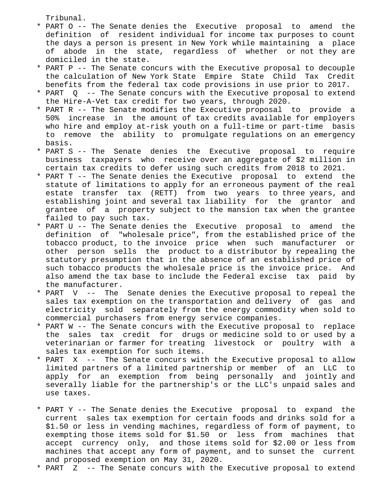Tribunal.

- \* PART O -- The Senate denies the Executive proposal to amend the definition of resident individual for income tax purposes to count the days a person is present in New York while maintaining a place of abode in the state, regardless of whether or not they are domiciled in the state.
- \* PART P -- The Senate concurs with the Executive proposal to decouple the calculation of New York State Empire State Child Tax Credit benefits from the federal tax code provisions in use prior to 2017.
- \* PART Q -- The Senate concurs with the Executive proposal to extend the Hire-A-Vet tax credit for two years, through 2020.
- \* PART R -- The Senate modifies the Executive proposal to provide a 50% increase in the amount of tax credits available for employers who hire and employ at-risk youth on a full-time or part-time basis to remove the ability to promulgate regulations on an emergency basis.
- \* PART S -- The Senate denies the Executive proposal to require business taxpayers who receive over an aggregate of \$2 million in certain tax credits to defer using such credits from 2018 to 2021.
- \* PART T -- The Senate denies the Executive proposal to extend the statute of limitations to apply for an erroneous payment of the real estate transfer tax (RETT) from two years to three years, and establishing joint and several tax liability for the grantor and grantee of a property subject to the mansion tax when the grantee failed to pay such tax.
- \* PART U -- The Senate denies the Executive proposal to amend the definition of "wholesale price", from the established price of the tobacco product, to the invoice price when such manufacturer or other person sells the product to a distributor by repealing the statutory presumption that in the absence of an established price of such tobacco products the wholesale price is the invoice price. And also amend the tax base to include the Federal excise tax paid by the manufacturer.
- \* PART V -- The Senate denies the Executive proposal to repeal the sales tax exemption on the transportation and delivery of gas and electricity sold separately from the energy commodity when sold to commercial purchasers from energy service companies.
- \* PART W -- The Senate concurs with the Executive proposal to replace the sales tax credit for drugs or medicine sold to or used by a veterinarian or farmer for treating livestock or poultry with a sales tax exemption for such items.
- \* PART X -- The Senate concurs with the Executive proposal to allow limited partners of a limited partnership or member of an LLC to apply for an exemption from being personally and jointly and severally liable for the partnership's or the LLC's unpaid sales and use taxes.
- \* PART Y -- The Senate denies the Executive proposal to expand the current sales tax exemption for certain foods and drinks sold for a \$1.50 or less in vending machines, regardless of form of payment, to exempting those items sold for \$1.50 or less from machines that accept currency only, and those items sold for \$2.00 or less from machines that accept any form of payment, and to sunset the current and proposed exemption on May 31, 2020.
- \* PART Z -- The Senate concurs with the Executive proposal to extend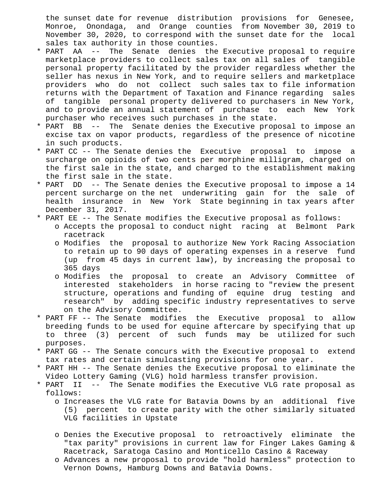the sunset date for revenue distribution provisions for Genesee, Monroe, Onondaga, and Orange counties from November 30, 2019 to November 30, 2020, to correspond with the sunset date for the local sales tax authority in those counties.

- \* PART AA -- The Senate denies the Executive proposal to require marketplace providers to collect sales tax on all sales of tangible personal property facilitated by the provider regardless whether the seller has nexus in New York, and to require sellers and marketplace providers who do not collect such sales tax to file information returns with the Department of Taxation and Finance regarding sales of tangible personal property delivered to purchasers in New York, and to provide an annual statement of purchase to each New York purchaser who receives such purchases in the state.
- \* PART BB -- The Senate denies the Executive proposal to impose an excise tax on vapor products, regardless of the presence of nicotine in such products.
- \* PART CC -- The Senate denies the Executive proposal to impose a surcharge on opioids of two cents per morphine milligram, charged on the first sale in the state, and charged to the establishment making the first sale in the state.
- \* PART DD -- The Senate denies the Executive proposal to impose a 14 percent surcharge on the net underwriting gain for the sale of health insurance in New York State beginning in tax years after December 31, 2017.
- \* PART EE -- The Senate modifies the Executive proposal as follows: o Accepts the proposal to conduct night racing at Belmont Park racetrack
	- o Modifies the proposal to authorize New York Racing Association to retain up to 90 days of operating expenses in a reserve fund (up from 45 days in current law), by increasing the proposal to 365 days
	- o Modifies the proposal to create an Advisory Committee of interested stakeholders in horse racing to "review the present structure, operations and funding of equine drug testing and research" by adding specific industry representatives to serve on the Advisory Committee.
- \* PART FF -- The Senate modifies the Executive proposal to allow breeding funds to be used for equine aftercare by specifying that up to three (3) percent of such funds may be utilized for such purposes.
- \* PART GG -- The Senate concurs with the Executive proposal to extend tax rates and certain simulcasting provisions for one year.
- \* PART HH -- The Senate denies the Executive proposal to eliminate the Video Lottery Gaming (VLG) hold harmless transfer provision.
- \* PART II -- The Senate modifies the Executive VLG rate proposal as follows:
	- o Increases the VLG rate for Batavia Downs by an additional five (5) percent to create parity with the other similarly situated VLG facilities in Upstate
	- o Denies the Executive proposal to retroactively eliminate the "tax parity" provisions in current law for Finger Lakes Gaming & Racetrack, Saratoga Casino and Monticello Casino & Raceway
	- o Advances a new proposal to provide "hold harmless" protection to Vernon Downs, Hamburg Downs and Batavia Downs.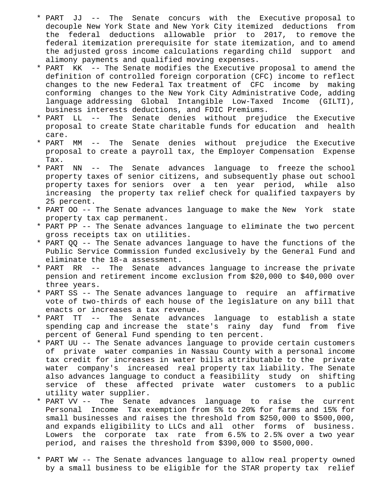- \* PART JJ -- The Senate concurs with the Executive proposal to decouple New York State and New York City itemized deductions from the federal deductions allowable prior to 2017, to remove the federal itemization prerequisite for state itemization, and to amend the adjusted gross income calculations regarding child support and alimony payments and qualified moving expenses.
- \* PART KK -- The Senate modifies the Executive proposal to amend the definition of controlled foreign corporation (CFC) income to reflect changes to the new Federal Tax treatment of CFC income by making conforming changes to the New York City Administrative Code, adding language addressing Global Intangible Low-Taxed Income (GILTI), business interests deductions, and FDIC Premiums.
- \* PART LL -- The Senate denies without prejudice the Executive proposal to create State charitable funds for education and health care.
- \* PART MM -- The Senate denies without prejudice the Executive proposal to create a payroll tax, the Employer Compensation Expense Tax.
- \* PART NN -- The Senate advances language to freeze the school property taxes of senior citizens, and subsequently phase out school property taxes for seniors over a ten year period, while also increasing the property tax relief check for qualified taxpayers by 25 percent.
- \* PART OO -- The Senate advances language to make the New York state property tax cap permanent.
- \* PART PP -- The Senate advances language to eliminate the two percent gross receipts tax on utilities.
- \* PART QQ -- The Senate advances language to have the functions of the Public Service Commission funded exclusively by the General Fund and eliminate the 18-a assessment.
- \* PART RR -- The Senate advances language to increase the private pension and retirement income exclusion from \$20,000 to \$40,000 over three years.
- \* PART SS -- The Senate advances language to require an affirmative vote of two-thirds of each house of the legislature on any bill that enacts or increases a tax revenue.
- \* PART TT -- The Senate advances language to establish a state spending cap and increase the state's rainy day fund from five percent of General Fund spending to ten percent.
- \* PART UU -- The Senate advances language to provide certain customers of private water companies in Nassau County with a personal income tax credit for increases in water bills attributable to the private water company's increased real property tax liability. The Senate also advances language to conduct a feasibility study on shifting service of these affected private water customers to a public utility water supplier.
- \* PART VV -- The Senate advances language to raise the current Personal Income Tax exemption from 5% to 20% for farms and 15% for small businesses and raises the threshold from \$250,000 to \$500,000, and expands eligibility to LLCs and all other forms of business. Lowers the corporate tax rate from 6.5% to 2.5% over a two year period, and raises the threshold from \$390,000 to \$500,000.
- \* PART WW -- The Senate advances language to allow real property owned by a small business to be eligible for the STAR property tax relief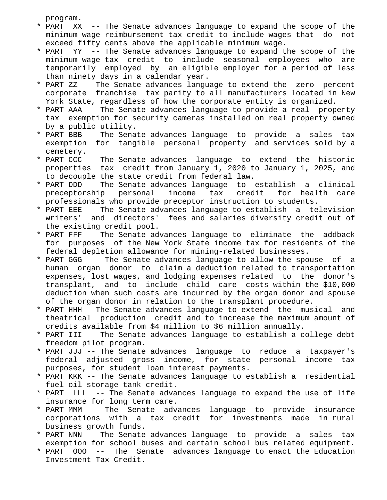program.

- \* PART XX -- The Senate advances language to expand the scope of the minimum wage reimbursement tax credit to include wages that do not exceed fifty cents above the applicable minimum wage.
- \* PART YY -- The Senate advances language to expand the scope of the minimum wage tax credit to include seasonal employees who are temporarily employed by an eligible employer for a period of less than ninety days in a calendar year.
- \* PART ZZ -- The Senate advances language to extend the zero percent corporate franchise tax parity to all manufacturers located in New York State, regardless of how the corporate entity is organized.
- \* PART AAA -- The Senate advances language to provide a real property tax exemption for security cameras installed on real property owned by a public utility.
- \* PART BBB -- The Senate advances language to provide a sales tax exemption for tangible personal property and services sold by a cemetery.
- \* PART CCC -- The Senate advances language to extend the historic properties tax credit from January 1, 2020 to January 1, 2025, and to decouple the state credit from federal law.
- \* PART DDD -- The Senate advances language to establish a clinical preceptorship personal income tax credit for health care professionals who provide preceptor instruction to students.
- \* PART EEE -- The Senate advances language to establish a television writers' and directors' fees and salaries diversity credit out of the existing credit pool.
- \* PART FFF -- The Senate advances language to eliminate the addback for purposes of the New York State income tax for residents of the federal depletion allowance for mining-related businesses.
- \* PART GGG --- The Senate advances language to allow the spouse of a human organ donor to claim a deduction related to transportation expenses, lost wages, and lodging expenses related to the donor's transplant, and to include child care costs within the \$10,000 deduction when such costs are incurred by the organ donor and spouse of the organ donor in relation to the transplant procedure.
- \* PART HHH The Senate advances language to extend the musical and theatrical production credit and to increase the maximum amount of credits available from \$4 million to \$6 million annually.
- \* PART III -- The Senate advances language to establish a college debt freedom pilot program.
- \* PART JJJ -- The Senate advances language to reduce a taxpayer's federal adjusted gross income, for state personal income tax purposes, for student loan interest payments.
- \* PART KKK -- The Senate advances language to establish a residential fuel oil storage tank credit.
- \* PART LLL -- The Senate advances language to expand the use of life insurance for long term care.
- \* PART MMM -- The Senate advances language to provide insurance corporations with a tax credit for investments made in rural business growth funds.
- \* PART NNN -- The Senate advances language to provide a sales tax exemption for school buses and certain school bus related equipment.
- \* PART OOO -- The Senate advances language to enact the Education Investment Tax Credit.